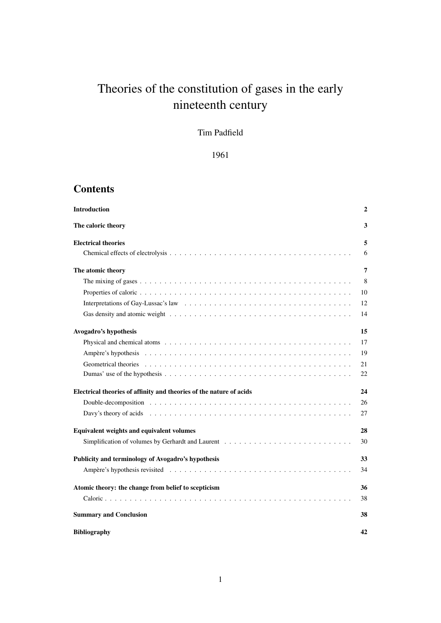# Theories of the constitution of gases in the early nineteenth century

## Tim Padfield

1961

## **Contents**

| <b>Introduction</b>                                                 | $\mathbf{2}$ |
|---------------------------------------------------------------------|--------------|
| The caloric theory                                                  | 3            |
| <b>Electrical theories</b>                                          | 5            |
|                                                                     | 6            |
| The atomic theory                                                   | 7            |
|                                                                     | 8            |
|                                                                     | 10           |
|                                                                     | 12           |
|                                                                     | 14           |
| Avogadro's hypothesis                                               | 15           |
|                                                                     | 17           |
|                                                                     | 19           |
|                                                                     | 21           |
|                                                                     | 22           |
| Electrical theories of affinity and theories of the nature of acids | 24           |
|                                                                     | 26           |
|                                                                     | 27           |
| Equivalent weights and equivalent volumes                           | 28           |
|                                                                     | 30           |
| Publicity and terminology of Avogadro's hypothesis                  | 33           |
|                                                                     | 34           |
| Atomic theory: the change from belief to scepticism                 | 36           |
|                                                                     | 38           |
| <b>Summary and Conclusion</b>                                       | 38           |
| <b>Bibliography</b>                                                 | 42           |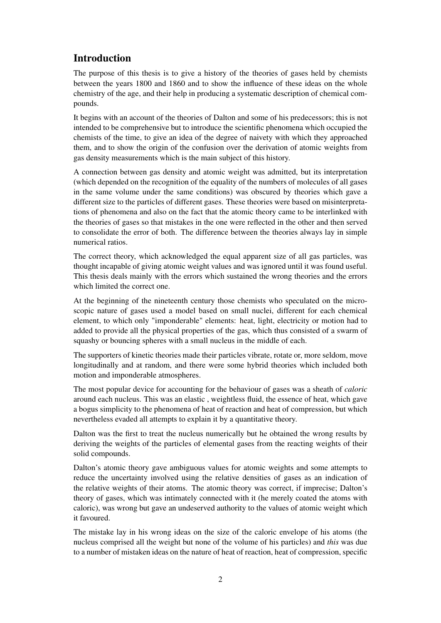## Introduction

The purpose of this thesis is to give a history of the theories of gases held by chemists between the years 1800 and 1860 and to show the influence of these ideas on the whole chemistry of the age, and their help in producing a systematic description of chemical compounds.

It begins with an account of the theories of Dalton and some of his predecessors; this is not intended to be comprehensive but to introduce the scientific phenomena which occupied the chemists of the time, to give an idea of the degree of naivety with which they approached them, and to show the origin of the confusion over the derivation of atomic weights from gas density measurements which is the main subject of this history.

A connection between gas density and atomic weight was admitted, but its interpretation (which depended on the recognition of the equality of the numbers of molecules of all gases in the same volume under the same conditions) was obscured by theories which gave a different size to the particles of different gases. These theories were based on misinterpretations of phenomena and also on the fact that the atomic theory came to be interlinked with the theories of gases so that mistakes in the one were reflected in the other and then served to consolidate the error of both. The difference between the theories always lay in simple numerical ratios.

The correct theory, which acknowledged the equal apparent size of all gas particles, was thought incapable of giving atomic weight values and was ignored until it was found useful. This thesis deals mainly with the errors which sustained the wrong theories and the errors which limited the correct one.

At the beginning of the nineteenth century those chemists who speculated on the microscopic nature of gases used a model based on small nuclei, different for each chemical element, to which only "imponderable" elements: heat, light, electricity or motion had to added to provide all the physical properties of the gas, which thus consisted of a swarm of squashy or bouncing spheres with a small nucleus in the middle of each.

The supporters of kinetic theories made their particles vibrate, rotate or, more seldom, move longitudinally and at random, and there were some hybrid theories which included both motion and imponderable atmospheres.

The most popular device for accounting for the behaviour of gases was a sheath of *caloric* around each nucleus. This was an elastic , weightless fluid, the essence of heat, which gave a bogus simplicity to the phenomena of heat of reaction and heat of compression, but which nevertheless evaded all attempts to explain it by a quantitative theory.

Dalton was the first to treat the nucleus numerically but he obtained the wrong results by deriving the weights of the particles of elemental gases from the reacting weights of their solid compounds.

Dalton's atomic theory gave ambiguous values for atomic weights and some attempts to reduce the uncertainty involved using the relative densities of gases as an indication of the relative weights of their atoms. The atomic theory was correct, if imprecise; Dalton's theory of gases, which was intimately connected with it (he merely coated the atoms with caloric), was wrong but gave an undeserved authority to the values of atomic weight which it favoured.

The mistake lay in his wrong ideas on the size of the caloric envelope of his atoms (the nucleus comprised all the weight but none of the volume of his particles) and *this* was due to a number of mistaken ideas on the nature of heat of reaction, heat of compression, specific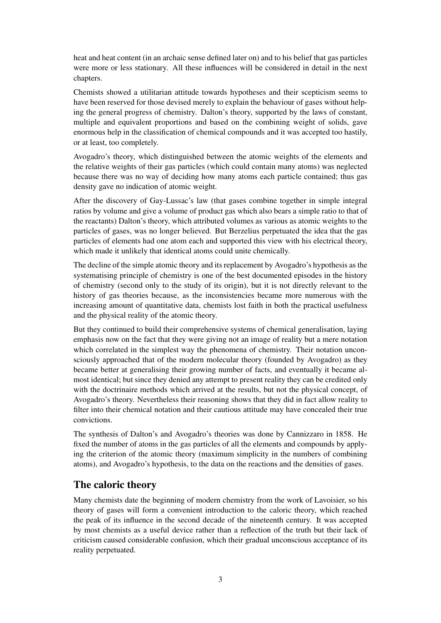heat and heat content (in an archaic sense defined later on) and to his belief that gas particles were more or less stationary. All these influences will be considered in detail in the next chapters.

Chemists showed a utilitarian attitude towards hypotheses and their scepticism seems to have been reserved for those devised merely to explain the behaviour of gases without helping the general progress of chemistry. Dalton's theory, supported by the laws of constant, multiple and equivalent proportions and based on the combining weight of solids, gave enormous help in the classification of chemical compounds and it was accepted too hastily, or at least, too completely.

Avogadro's theory, which distinguished between the atomic weights of the elements and the relative weights of their gas particles (which could contain many atoms) was neglected because there was no way of deciding how many atoms each particle contained; thus gas density gave no indication of atomic weight.

After the discovery of Gay-Lussac's law (that gases combine together in simple integral ratios by volume and give a volume of product gas which also bears a simple ratio to that of the reactants) Dalton's theory, which attributed volumes as various as atomic weights to the particles of gases, was no longer believed. But Berzelius perpetuated the idea that the gas particles of elements had one atom each and supported this view with his electrical theory, which made it unlikely that identical atoms could unite chemically.

The decline of the simple atomic theory and its replacement by Avogadro's hypothesis as the systematising principle of chemistry is one of the best documented episodes in the history of chemistry (second only to the study of its origin), but it is not directly relevant to the history of gas theories because, as the inconsistencies became more numerous with the increasing amount of quantitative data, chemists lost faith in both the practical usefulness and the physical reality of the atomic theory.

But they continued to build their comprehensive systems of chemical generalisation, laying emphasis now on the fact that they were giving not an image of reality but a mere notation which correlated in the simplest way the phenomena of chemistry. Their notation unconsciously approached that of the modern molecular theory (founded by Avogadro) as they became better at generalising their growing number of facts, and eventually it became almost identical; but since they denied any attempt to present reality they can be credited only with the doctrinaire methods which arrived at the results, but not the physical concept, of Avogadro's theory. Nevertheless their reasoning shows that they did in fact allow reality to filter into their chemical notation and their cautious attitude may have concealed their true convictions.

The synthesis of Dalton's and Avogadro's theories was done by Cannizzaro in 1858. He fixed the number of atoms in the gas particles of all the elements and compounds by applying the criterion of the atomic theory (maximum simplicity in the numbers of combining atoms), and Avogadro's hypothesis, to the data on the reactions and the densities of gases.

## The caloric theory

Many chemists date the beginning of modern chemistry from the work of Lavoisier, so his theory of gases will form a convenient introduction to the caloric theory, which reached the peak of its influence in the second decade of the nineteenth century. It was accepted by most chemists as a useful device rather than a reflection of the truth but their lack of criticism caused considerable confusion, which their gradual unconscious acceptance of its reality perpetuated.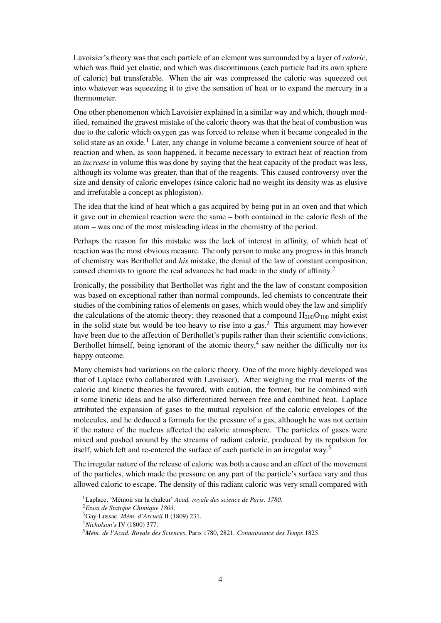Lavoisier's theory was that each particle of an element was surrounded by a layer of *caloric*, which was fluid yet elastic, and which was discontinuous (each particle had its own sphere of caloric) but transferable. When the air was compressed the caloric was squeezed out into whatever was squeezing it to give the sensation of heat or to expand the mercury in a thermometer.

One other phenomenon which Lavoisier explained in a similar way and which, though modified, remained the gravest mistake of the caloric theory was that the heat of combustion was due to the caloric which oxygen gas was forced to release when it became congealed in the solid state as an oxide.<sup>1</sup> Later, any change in volume became a convenient source of heat of reaction and when, as soon happened, it became necessary to extract heat of reaction from an *increase* in volume this was done by saying that the heat capacity of the product was less, although its volume was greater, than that of the reagents. This caused controversy over the size and density of caloric envelopes (since caloric had no weight its density was as elusive and irrefutable a concept as phlogiston).

The idea that the kind of heat which a gas acquired by being put in an oven and that which it gave out in chemical reaction were the same – both contained in the caloric flesh of the atom – was one of the most misleading ideas in the chemistry of the period.

Perhaps the reason for this mistake was the lack of interest in affinity, of which heat of reaction was the most obvious measure. The only person to make any progress in this branch of chemistry was Berthollet and *his* mistake, the denial of the law of constant composition, caused chemists to ignore the real advances he had made in the study of affinity.<sup>2</sup>

Ironically, the possibility that Berthollet was right and the the law of constant composition was based on exceptional rather than normal compounds, led chemists to concentrate their studies of the combining ratios of elements on gases, which would obey the law and simplify the calculations of the atomic theory; they reasoned that a compound  $H_{200}O_{100}$  might exist in the solid state but would be too heavy to rise into a gas.<sup>3</sup> This argument may however have been due to the affection of Berthollet's pupils rather than their scientific convictions. Berthollet himself, being ignorant of the atomic theory,<sup>4</sup> saw neither the difficulty nor its happy outcome.

Many chemists had variations on the caloric theory. One of the more highly developed was that of Laplace (who collaborated with Lavoisier). After weighing the rival merits of the caloric and kinetic theories he favoured, with caution, the former, but he combined with it some kinetic ideas and he also differentiated between free and combined heat. Laplace attributed the expansion of gases to the mutual repulsion of the caloric envelopes of the molecules, and he deduced a formula for the pressure of a gas, although he was not certain if the nature of the nucleus affected the caloric atmosphere. The particles of gases were mixed and pushed around by the streams of radiant caloric, produced by its repulsion for itself, which left and re-entered the surface of each particle in an irregular way.<sup>5</sup>

The irregular nature of the release of caloric was both a cause and an effect of the movement of the particles, which made the pressure on any part of the particle's surface vary and thus allowed caloric to escape. The density of this radiant caloric was very small compared with

<sup>1</sup>Laplace, 'Mémoir sur la chaleur' *Acad. royale des science de Paris. 1780.*

<sup>2</sup>*Essai de Statique Chimique 1803*.

<sup>3</sup>Gay-Lussac. *Mém. d'Arcueil* II (1809) 231.

<sup>4</sup>*Nicholson's* IV (1800) 377.

<sup>5</sup>*Mém. de l'Acad. Royale des Sciences*, Paris 1780, 2821. *Connaissance des Temps* 1825.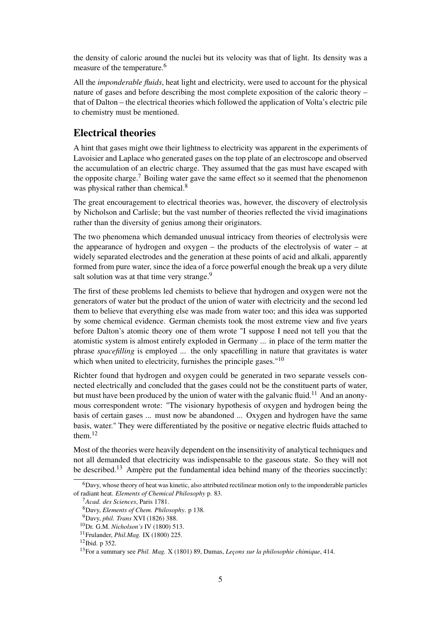the density of caloric around the nuclei but its velocity was that of light. Its density was a measure of the temperature.<sup>6</sup>

All the *imponderable fluids*, heat light and electricity, were used to account for the physical nature of gases and before describing the most complete exposition of the caloric theory – that of Dalton – the electrical theories which followed the application of Volta's electric pile to chemistry must be mentioned.

## Electrical theories

A hint that gases might owe their lightness to electricity was apparent in the experiments of Lavoisier and Laplace who generated gases on the top plate of an electroscope and observed the accumulation of an electric charge. They assumed that the gas must have escaped with the opposite charge.<sup>7</sup> Boiling water gave the same effect so it seemed that the phenomenon was physical rather than chemical.<sup>8</sup>

The great encouragement to electrical theories was, however, the discovery of electrolysis by Nicholson and Carlisle; but the vast number of theories reflected the vivid imaginations rather than the diversity of genius among their originators.

The two phenomena which demanded unusual intricacy from theories of electrolysis were the appearance of hydrogen and oxygen – the products of the electrolysis of water – at widely separated electrodes and the generation at these points of acid and alkali, apparently formed from pure water, since the idea of a force powerful enough the break up a very dilute salt solution was at that time very strange.<sup>9</sup>

The first of these problems led chemists to believe that hydrogen and oxygen were not the generators of water but the product of the union of water with electricity and the second led them to believe that everything else was made from water too; and this idea was supported by some chemical evidence. German chemists took the most extreme view and five years before Dalton's atomic theory one of them wrote "I suppose I need not tell you that the atomistic system is almost entirely exploded in Germany ... in place of the term matter the phrase *spacefilling* is employed ... the only spacefilling in nature that gravitates is water which when united to electricity, furnishes the principle gases."<sup>10</sup>

Richter found that hydrogen and oxygen could be generated in two separate vessels connected electrically and concluded that the gases could not be the constituent parts of water, but must have been produced by the union of water with the galvanic fluid.<sup>11</sup> And an anonymous correspondent wrote: "The visionary hypothesis of oxygen and hydrogen being the basis of certain gases ... must now be abandoned ... Oxygen and hydrogen have the same basis, water." They were differentiated by the positive or negative electric fluids attached to them.<sup>12</sup>

Most of the theories were heavily dependent on the insensitivity of analytical techniques and not all demanded that electricity was indispensable to the gaseous state. So they will not be described.<sup>13</sup> Ampère put the fundamental idea behind many of the theories succinctly:

<sup>6</sup>Davy, whose theory of heat was kinetic, also attributed rectilinear motion only to the imponderable particles of radiant heat. *Elements of Chemical Philosophy* p. 83.

<sup>7</sup>*Acad. des Sciences*, Paris 1781.

<sup>8</sup>Davy, *Elements of Chem. Philosophy*. p 138.

<sup>9</sup>Davy, *phil. Trans* XVI (1826) 388.

<sup>10</sup>Dr. G.M. *Nicholson's* IV (1800) 513.

<sup>11</sup>Frulander, *Phil.Mag.* IX (1800) 225.

<sup>12</sup>Ibid. p 352.

<sup>13</sup>For a summary see *Phil. Mag.* X (1801) 89, Dumas, *Leçons sur la philosophie chimique*, 414.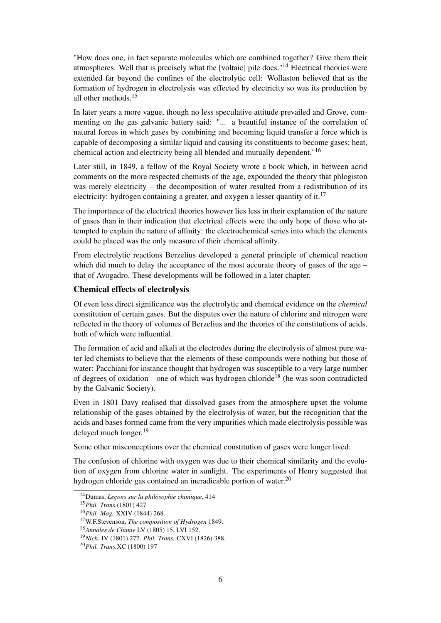"How does one, in fact separate molecules which are combined together? Give them their atmospheres. Well that is precisely what the [voltaic] pile does."<sup>14</sup> Electrical theories were extended far beyond the confines of the electrolytic cell: Wollaston believed that as the formation of hydrogen in electrolysis was effected by electricity so was its production by all other methods  $15$ 

In later years a more vague, though no less speculative attitude prevailed and Grove, commenting on the gas galvanic battery said: "... a beautiful instance of the correlation of natural forces in which gases by combining and becoming liquid transfer a force which is capable of decomposing a similar liquid and causing its constituents to become gases; heat, chemical action and electricity being all blended and mutually dependent."<sup>16</sup>

Later still, in 1849, a fellow of the Royal Society wrote a book which, in between acrid comments on the more respected chemists of the age, expounded the theory that phlogiston was merely electricity – the decomposition of water resulted from a redistribution of its electricity: hydrogen containing a greater, and oxygen a lesser quantity of it.<sup>17</sup>

The importance of the electrical theories however lies less in their explanation of the nature of gases than in their indication that electrical effects were the only hope of those who attempted to explain the nature of affinity: the electrochemical series into which the elements could be placed was the only measure of their chemical affinity.

From electrolytic reactions Berzelius developed a general principle of chemical reaction which did much to delay the acceptance of the most accurate theory of gases of the age  $$ that of Avogadro. These developments will be followed in a later chapter.

### Chemical effects of electrolysis

Of even less direct significance was the electrolytic and chemical evidence on the *chemical* constitution of certain gases. But the disputes over the nature of chlorine and nitrogen were reflected in the theory of volumes of Berzelius and the theories of the constitutions of acids, both of which were influential.

The formation of acid and alkali at the electrodes during the electrolysis of almost pure water led chemists to believe that the elements of these compounds were nothing but those of water: Pacchiani for instance thought that hydrogen was susceptible to a very large number of degrees of oxidation – one of which was hydrogen chloride<sup>18</sup> (he was soon contradicted by the Galvanic Society).

Even in 1801 Davy realised that dissolved gases from the atmosphere upset the volume relationship of the gases obtained by the electrolysis of water, but the recognition that the acids and bases formed came from the very impurities which made electrolysis possible was delayed much longer.<sup>19</sup>

Some other misconceptions over the chemical constitution of gases were longer lived:

The confusion of chlorine with oxygen was due to their chemical similarity and the evolution of oxygen from chlorine water in sunlight. The experiments of Henry suggested that hydrogen chloride gas contained an ineradicable portion of water.<sup>20</sup>

<sup>14</sup>Dumas, *Leçons sur la philosophie chimique*, 414

<sup>15</sup>*Phil. Trans.*(1801) 427

<sup>16</sup>*Phil. Mag.* XXIV (1844) 268.

<sup>17</sup>W.F.Stevenson, *The composition of Hydrogen* 1849.

<sup>18</sup>*Annales de Chimie* LV (1805) 15, LVI 152.

<sup>19</sup>*Nich.* IV (1801) 277. *Phil. Trans.* CXVI (1826) 388.

<sup>20</sup>*Phil. Trans.*XC (1800) 197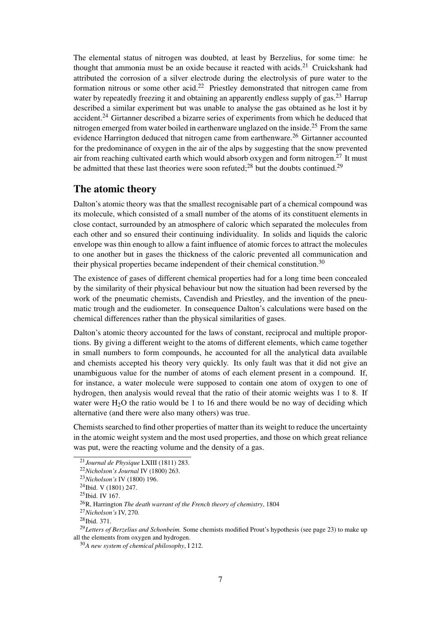The elemental status of nitrogen was doubted, at least by Berzelius, for some time: he thought that ammonia must be an oxide because it reacted with acids.<sup>21</sup> Cruickshank had attributed the corrosion of a silver electrode during the electrolysis of pure water to the formation nitrous or some other acid.<sup>22</sup> Priestley demonstrated that nitrogen came from water by repeatedly freezing it and obtaining an apparently endless supply of gas.<sup>23</sup> Harrup described a similar experiment but was unable to analyse the gas obtained as he lost it by accident.<sup>24</sup> Girtanner described a bizarre series of experiments from which he deduced that nitrogen emerged from water boiled in earthenware unglazed on the inside.<sup>25</sup> From the same evidence Harrington deduced that nitrogen came from earthenware.<sup>26</sup> Girtanner accounted for the predominance of oxygen in the air of the alps by suggesting that the snow prevented air from reaching cultivated earth which would absorb oxygen and form nitrogen.<sup>27</sup> It must be admitted that these last theories were soon refuted: $^{28}$  but the doubts continued.<sup>29</sup>

### The atomic theory

Dalton's atomic theory was that the smallest recognisable part of a chemical compound was its molecule, which consisted of a small number of the atoms of its constituent elements in close contact, surrounded by an atmosphere of caloric which separated the molecules from each other and so ensured their continuing individuality. In solids and liquids the caloric envelope was thin enough to allow a faint influence of atomic forces to attract the molecules to one another but in gases the thickness of the caloric prevented all communication and their physical properties became independent of their chemical constitution.<sup>30</sup>

The existence of gases of different chemical properties had for a long time been concealed by the similarity of their physical behaviour but now the situation had been reversed by the work of the pneumatic chemists, Cavendish and Priestley, and the invention of the pneumatic trough and the eudiometer. In consequence Dalton's calculations were based on the chemical differences rather than the physical similarities of gases.

Dalton's atomic theory accounted for the laws of constant, reciprocal and multiple proportions. By giving a different weight to the atoms of different elements, which came together in small numbers to form compounds, he accounted for all the analytical data available and chemists accepted his theory very quickly. Its only fault was that it did not give an unambiguous value for the number of atoms of each element present in a compound. If, for instance, a water molecule were supposed to contain one atom of oxygen to one of hydrogen, then analysis would reveal that the ratio of their atomic weights was 1 to 8. If water were  $H<sub>2</sub>O$  the ratio would be 1 to 16 and there would be no way of deciding which alternative (and there were also many others) was true.

Chemists searched to find other properties of matter than its weight to reduce the uncertainty in the atomic weight system and the most used properties, and those on which great reliance was put, were the reacting volume and the density of a gas.

<sup>21</sup>*Journal de Physique* LXIII (1811) 283.

<sup>22</sup>*Nicholson's Journal* IV (1800) 263.

<sup>23</sup>*Nicholson's* IV (1800) 196.

<sup>24</sup>Ibid. V (1801) 247.

<sup>25</sup>Ibid. IV 167.

<sup>26</sup>R, Harrington *The death warrant of the French theory of chemistry*, 1804

<sup>27</sup>*Nicholson's* IV, 270.

<sup>28</sup>Ibid. 371.

<sup>&</sup>lt;sup>29</sup>Letters of Berzelius and Schonbeim. Some chemists modified Prout's hypothesis (see page 23) to make up all the elements from oxygen and hydrogen.

<sup>30</sup>*A new system of chemical philosophy*, I 212.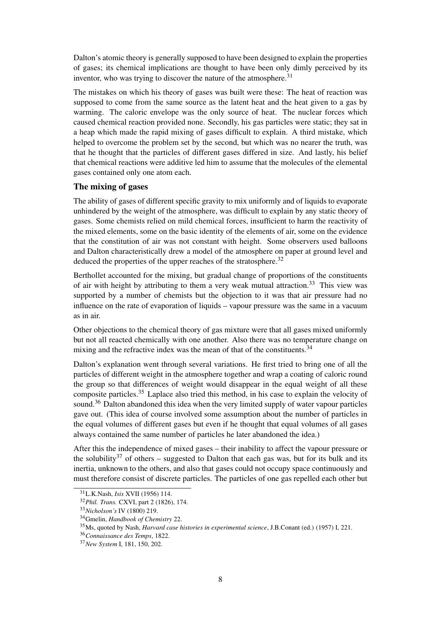Dalton's atomic theory is generally supposed to have been designed to explain the properties of gases; its chemical implications are thought to have been only dimly perceived by its inventor, who was trying to discover the nature of the atmosphere.<sup>31</sup>

The mistakes on which his theory of gases was built were these: The heat of reaction was supposed to come from the same source as the latent heat and the heat given to a gas by warming. The caloric envelope was the only source of heat. The nuclear forces which caused chemical reaction provided none. Secondly, his gas particles were static; they sat in a heap which made the rapid mixing of gases difficult to explain. A third mistake, which helped to overcome the problem set by the second, but which was no nearer the truth, was that he thought that the particles of different gases differed in size. And lastly, his belief that chemical reactions were additive led him to assume that the molecules of the elemental gases contained only one atom each.

### The mixing of gases

The ability of gases of different specific gravity to mix uniformly and of liquids to evaporate unhindered by the weight of the atmosphere, was difficult to explain by any static theory of gases. Some chemists relied on mild chemical forces, insufficient to harm the reactivity of the mixed elements, some on the basic identity of the elements of air, some on the evidence that the constitution of air was not constant with height. Some observers used balloons and Dalton characteristically drew a model of the atmosphere on paper at ground level and deduced the properties of the upper reaches of the stratosphere.<sup>32</sup>

Berthollet accounted for the mixing, but gradual change of proportions of the constituents of air with height by attributing to them a very weak mutual attraction.<sup>33</sup> This view was supported by a number of chemists but the objection to it was that air pressure had no influence on the rate of evaporation of liquids – vapour pressure was the same in a vacuum as in air.

Other objections to the chemical theory of gas mixture were that all gases mixed uniformly but not all reacted chemically with one another. Also there was no temperature change on mixing and the refractive index was the mean of that of the constituents.<sup>34</sup>

Dalton's explanation went through several variations. He first tried to bring one of all the particles of different weight in the atmosphere together and wrap a coating of caloric round the group so that differences of weight would disappear in the equal weight of all these composite particles.<sup>35</sup> Laplace also tried this method, in his case to explain the velocity of sound.<sup>36</sup> Dalton abandoned this idea when the very limited supply of water vapour particles gave out. (This idea of course involved some assumption about the number of particles in the equal volumes of different gases but even if he thought that equal volumes of all gases always contained the same number of particles he later abandoned the idea.)

After this the independence of mixed gases – their inability to affect the vapour pressure or the solubility<sup>37</sup> of others – suggested to Dalton that each gas was, but for its bulk and its inertia, unknown to the others, and also that gases could not occupy space continuously and must therefore consist of discrete particles. The particles of one gas repelled each other but

<sup>31</sup>L.K.Nash, *Isis* XVII (1956) 114.

<sup>32</sup>*Phil. Trans.* CXVI, part 2 (1826), 174.

<sup>33</sup>*Nicholson's* IV (1800) 219.

<sup>34</sup>Gmelin, *Handbook of Chemistry* 22.

<sup>35</sup>Ms, quoted by Nash, *Harvard case histories in experimental science*, J.B.Conant (ed.) (1957) I, 221.

<sup>36</sup>*Connaissance des Temps*, 1822.

<sup>37</sup>*New System* I, 181, 150, 202.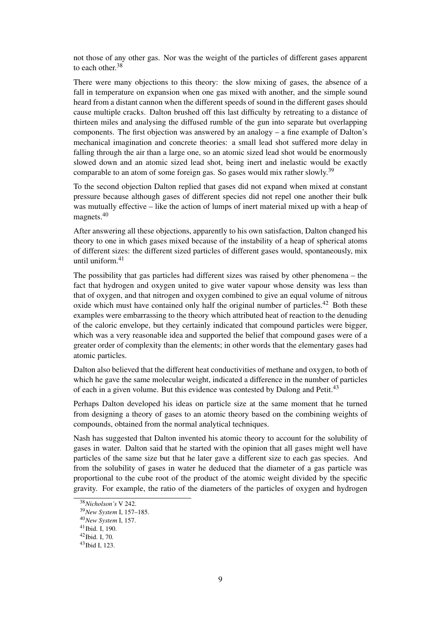not those of any other gas. Nor was the weight of the particles of different gases apparent to each other.<sup>38</sup>

There were many objections to this theory: the slow mixing of gases, the absence of a fall in temperature on expansion when one gas mixed with another, and the simple sound heard from a distant cannon when the different speeds of sound in the different gases should cause multiple cracks. Dalton brushed off this last difficulty by retreating to a distance of thirteen miles and analysing the diffused rumble of the gun into separate but overlapping components. The first objection was answered by an analogy – a fine example of Dalton's mechanical imagination and concrete theories: a small lead shot suffered more delay in falling through the air than a large one, so an atomic sized lead shot would be enormously slowed down and an atomic sized lead shot, being inert and inelastic would be exactly comparable to an atom of some foreign gas. So gases would mix rather slowly.<sup>39</sup>

To the second objection Dalton replied that gases did not expand when mixed at constant pressure because although gases of different species did not repel one another their bulk was mutually effective – like the action of lumps of inert material mixed up with a heap of magnets.<sup>40</sup>

After answering all these objections, apparently to his own satisfaction, Dalton changed his theory to one in which gases mixed because of the instability of a heap of spherical atoms of different sizes: the different sized particles of different gases would, spontaneously, mix until uniform.<sup>41</sup>

The possibility that gas particles had different sizes was raised by other phenomena – the fact that hydrogen and oxygen united to give water vapour whose density was less than that of oxygen, and that nitrogen and oxygen combined to give an equal volume of nitrous oxide which must have contained only half the original number of particles.<sup>42</sup> Both these examples were embarrassing to the theory which attributed heat of reaction to the denuding of the caloric envelope, but they certainly indicated that compound particles were bigger, which was a very reasonable idea and supported the belief that compound gases were of a greater order of complexity than the elements; in other words that the elementary gases had atomic particles.

Dalton also believed that the different heat conductivities of methane and oxygen, to both of which he gave the same molecular weight, indicated a difference in the number of particles of each in a given volume. But this evidence was contested by Dulong and Petit.<sup>43</sup>

Perhaps Dalton developed his ideas on particle size at the same moment that he turned from designing a theory of gases to an atomic theory based on the combining weights of compounds, obtained from the normal analytical techniques.

Nash has suggested that Dalton invented his atomic theory to account for the solubility of gases in water. Dalton said that he started with the opinion that all gases might well have particles of the same size but that he later gave a different size to each gas species. And from the solubility of gases in water he deduced that the diameter of a gas particle was proportional to the cube root of the product of the atomic weight divided by the specific gravity. For example, the ratio of the diameters of the particles of oxygen and hydrogen

<sup>38</sup>*Nicholson's* V 242.

<sup>39</sup>*New System* I, 157–185.

<sup>40</sup>*New System* I, 157.

<sup>41</sup>Ibid. I, 190.

<sup>42</sup>Ibid. I, 70.

<sup>43</sup>Ibid I, 123.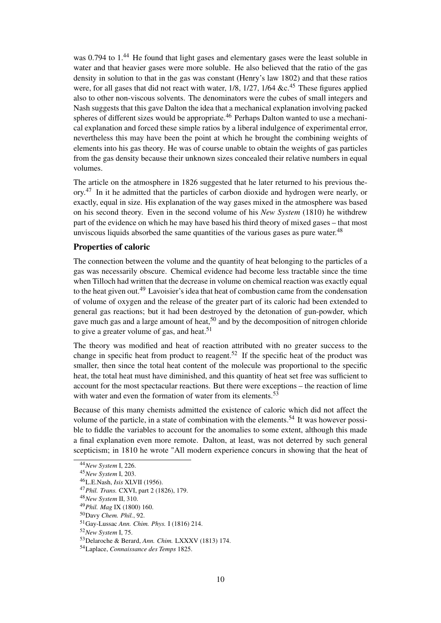was 0.794 to 1.<sup>44</sup> He found that light gases and elementary gases were the least soluble in water and that heavier gases were more soluble. He also believed that the ratio of the gas density in solution to that in the gas was constant (Henry's law 1802) and that these ratios were, for all gases that did not react with water,  $1/8$ ,  $1/27$ ,  $1/64$  &c.<sup>45</sup> These figures applied also to other non-viscous solvents. The denominators were the cubes of small integers and Nash suggests that this gave Dalton the idea that a mechanical explanation involving packed spheres of different sizes would be appropriate.<sup>46</sup> Perhaps Dalton wanted to use a mechanical explanation and forced these simple ratios by a liberal indulgence of experimental error, nevertheless this may have been the point at which he brought the combining weights of elements into his gas theory. He was of course unable to obtain the weights of gas particles from the gas density because their unknown sizes concealed their relative numbers in equal volumes.

The article on the atmosphere in 1826 suggested that he later returned to his previous theory.<sup>47</sup> In it he admitted that the particles of carbon dioxide and hydrogen were nearly, or exactly, equal in size. His explanation of the way gases mixed in the atmosphere was based on his second theory. Even in the second volume of his *New System* (1810) he withdrew part of the evidence on which he may have based his third theory of mixed gases – that most unviscous liquids absorbed the same quantities of the various gases as pure water.<sup>48</sup>

### Properties of caloric

The connection between the volume and the quantity of heat belonging to the particles of a gas was necessarily obscure. Chemical evidence had become less tractable since the time when Tilloch had written that the decrease in volume on chemical reaction was exactly equal to the heat given out.<sup>49</sup> Lavoisier's idea that heat of combustion came from the condensation of volume of oxygen and the release of the greater part of its caloric had been extended to general gas reactions; but it had been destroyed by the detonation of gun-powder, which gave much gas and a large amount of heat,  $50$  and by the decomposition of nitrogen chloride to give a greater volume of gas, and heat.<sup>51</sup>

The theory was modified and heat of reaction attributed with no greater success to the change in specific heat from product to reagent.<sup>52</sup> If the specific heat of the product was smaller, then since the total heat content of the molecule was proportional to the specific heat, the total heat must have diminished, and this quantity of heat set free was sufficient to account for the most spectacular reactions. But there were exceptions – the reaction of lime with water and even the formation of water from its elements.<sup>53</sup>

Because of this many chemists admitted the existence of caloric which did not affect the volume of the particle, in a state of combination with the elements.<sup>54</sup> It was however possible to fiddle the variables to account for the anomalies to some extent, although this made a final explanation even more remote. Dalton, at least, was not deterred by such general scepticism; in 1810 he wrote "All modern experience concurs in showing that the heat of

<sup>44</sup>*New System* I, 226.

<sup>45</sup>*New System* I, 203.

<sup>46</sup>L.E.Nash, *Isis* XLVII (1956).

<sup>47</sup>*Phil. Trans.* CXVI, part 2 (1826), 179.

<sup>48</sup>*New System* II, 310.

<sup>49</sup>*Phil. Mag* IX (1800) 160.

<sup>50</sup>Davy *Chem. Phil.*, 92.

<sup>51</sup>Gay-Lussac *Ann. Chim. Phys.* I (1816) 214.

<sup>52</sup>*New System* I, 75.

<sup>53</sup>Delaroche & Berard, *Ann. Chim.* LXXXV (1813) 174.

<sup>54</sup>Laplace, *Connaissance des Temps* 1825.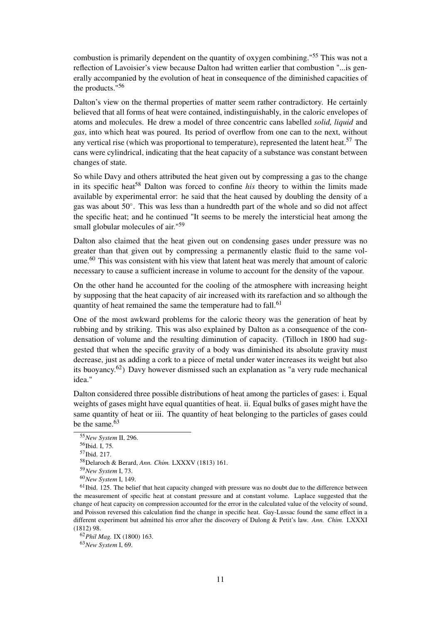combustion is primarily dependent on the quantity of oxygen combining."<sup>55</sup> This was not a reflection of Lavoisier's view because Dalton had written earlier that combustion "...is generally accompanied by the evolution of heat in consequence of the diminished capacities of the products."<sup>56</sup>

Dalton's view on the thermal properties of matter seem rather contradictory. He certainly believed that all forms of heat were contained, indistinguishably, in the caloric envelopes of atoms and molecules. He drew a model of three concentric cans labelled *solid, liquid* and *gas*, into which heat was poured. Its period of overflow from one can to the next, without any vertical rise (which was proportional to temperature), represented the latent heat.<sup>57</sup> The cans were cylindrical, indicating that the heat capacity of a substance was constant between changes of state.

So while Davy and others attributed the heat given out by compressing a gas to the change in its specific heat<sup>58</sup> Dalton was forced to confine *his* theory to within the limits made available by experimental error: he said that the heat caused by doubling the density of a gas was about 50◦ . This was less than a hundredth part of the whole and so did not affect the specific heat; and he continued "It seems to be merely the intersticial heat among the small globular molecules of air."<sup>59</sup>

Dalton also claimed that the heat given out on condensing gases under pressure was no greater than that given out by compressing a permanently elastic fluid to the same volume.<sup>60</sup> This was consistent with his view that latent heat was merely that amount of caloric necessary to cause a sufficient increase in volume to account for the density of the vapour.

On the other hand he accounted for the cooling of the atmosphere with increasing height by supposing that the heat capacity of air increased with its rarefaction and so although the quantity of heat remained the same the temperature had to fall.<sup>61</sup>

One of the most awkward problems for the caloric theory was the generation of heat by rubbing and by striking. This was also explained by Dalton as a consequence of the condensation of volume and the resulting diminution of capacity. (Tilloch in 1800 had suggested that when the specific gravity of a body was diminished its absolute gravity must decrease, just as adding a cork to a piece of metal under water increases its weight but also its buoyancy.62) Davy however dismissed such an explanation as "a very rude mechanical idea."

Dalton considered three possible distributions of heat among the particles of gases: i. Equal weights of gases might have equal quantities of heat. ii. Equal bulks of gases might have the same quantity of heat or iii. The quantity of heat belonging to the particles of gases could be the same.<sup>63</sup>

<sup>63</sup>*New System* I, 69.

<sup>55</sup>*New System* II, 296.

<sup>56</sup>Ibid. I, 75.

<sup>57</sup>Ibid. 217.

<sup>58</sup>Delaroch & Berard, *Ann. Chim.* LXXXV (1813) 161.

<sup>59</sup>*New System* I, 73.

<sup>60</sup>*New System* I, 149.

 $61$ Ibid. 125. The belief that heat capacity changed with pressure was no doubt due to the difference between the measurement of specific heat at constant pressure and at constant volume. Laplace suggested that the change of heat capacity on compression accounted for the error in the calculated value of the velocity of sound, and Poisson reversed this calculation find the change in specific heat. Gay-Lussac found the same effect in a different experiment but admitted his error after the discovery of Dulong & Petit's law. *Ann. Chim.* LXXXI (1812) 98.

<sup>62</sup>*Phil Mag.* IX (1800) 163.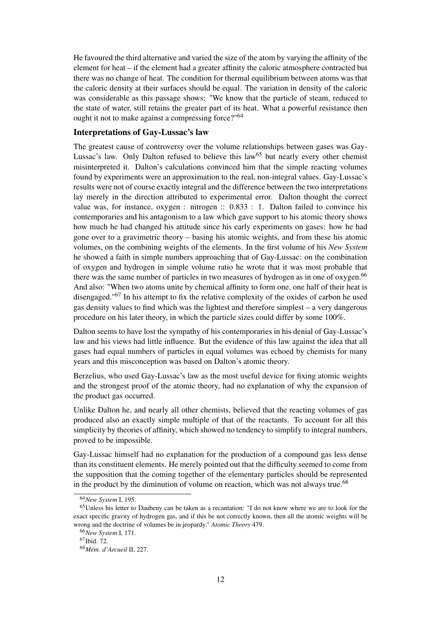He favoured the third alternative and varied the size of the atom by varying the affinity of the element for heat – if the element had a greater affinity the caloric atmosphere contracted but there was no change of heat. The condition for thermal equilibrium between atoms was that the caloric density at their surfaces should be equal. The variation in density of the caloric was considerable as this passage shows: "We know that the particle of steam, reduced to the state of water, still retains the greater part of its heat. What a powerful resistance then ought it not to make against a compressing force?"<sup>64</sup>

#### Interpretations of Gay-Lussac's law

The greatest cause of controversy over the volume relationships between gases was Gay-Lussac's law. Only Dalton refused to believe this law<sup>65</sup> but nearly every other chemist misinterpreted it. Dalton's calculations convinced him that the simple reacting volumes found by experiments were an approximation to the real, non-integral values. Gay-Lussac's results were not of course exactly integral and the difference between the two interpretations lay merely in the direction attributed to experimental error. Dalton thought the correct value was, for instance, oxygen : nitrogen :: 0.833 : 1. Dalton failed to convince his contemporaries and his antagonism to a law which gave support to his atomic theory shows how much he had changed his attitude since his early experiments on gases: how he had gone over to a gravimetric theory – basing his atomic weights, and from these his atomic volumes, on the combining weights of the elements. In the first volume of his *New System* he showed a faith in simple numbers approaching that of Gay-Lussac: on the combination of oxygen and hydrogen in simple volume ratio he wrote that it was most probable that there was the same number of particles in two measures of hydrogen as in one of oxygen.<sup>66</sup> And also: "When two atoms unite by chemical affinity to form one, one half of their heat is disengaged."<sup>67</sup> In his attempt to fix the relative complexity of the oxides of carbon he used gas density values to find which was the lightest and therefore simplest – a very dangerous procedure on his later theory, in which the particle sizes could differ by some 100%.

Dalton seems to have lost the sympathy of his contemporaries in his denial of Gay-Lussac's law and his views had little influence. But the evidence of this law against the idea that all gases had equal numbers of particles in equal volumes was echoed by chemists for many years and this misconception was based on Dalton's atomic theory.

Berzelius, who used Gay-Lussac's law as the most useful device for fixing atomic weights and the strongest proof of the atomic theory, had no explanation of why the expansion of the product gas occurred.

Unlike Dalton he, and nearly all other chemists, believed that the reacting volumes of gas produced also an exactly simple multiple of that of the reactants. To account for all this simplicity by theories of affinity, which showed no tendency to simplify to integral numbers, proved to be impossible.

Gay-Lussac himself had no explanation for the production of a compound gas less dense than its constituent elements. He merely pointed out that the difficulty seemed to come from the supposition that the coming together of the elementary particles should be represented in the product by the diminution of volume on reaction, which was not always true.<sup>68</sup>

<sup>64</sup>*New System* I, 195.

<sup>65</sup>Unless his letter to Daubeny can be taken as a recantation: "I do not know where we are to look for the exact specific gravity of hydrogen gas, and if this be not correctly known, then all the atomic weights will be wrong and the doctrine of volumes be in jeopardy." *Atomic Theory* 479.

<sup>66</sup>*New System* I, 171.

 $67$ Ibid. 72.

<sup>68</sup>*Mém. d'Arcueil* II, 227.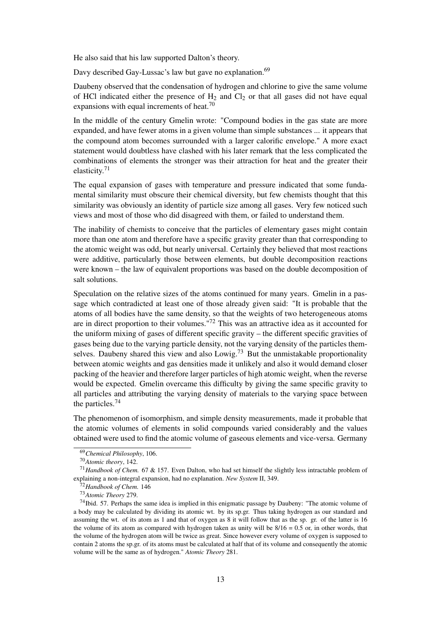He also said that his law supported Dalton's theory.

Davy described Gay-Lussac's law but gave no explanation.<sup>69</sup>

Daubeny observed that the condensation of hydrogen and chlorine to give the same volume of HCl indicated either the presence of  $H_2$  and  $Cl_2$  or that all gases did not have equal expansions with equal increments of heat.<sup>70</sup>

In the middle of the century Gmelin wrote: "Compound bodies in the gas state are more expanded, and have fewer atoms in a given volume than simple substances ... it appears that the compound atom becomes surrounded with a larger calorific envelope." A more exact statement would doubtless have clashed with his later remark that the less complicated the combinations of elements the stronger was their attraction for heat and the greater their elasticity.<sup>71</sup>

The equal expansion of gases with temperature and pressure indicated that some fundamental similarity must obscure their chemical diversity, but few chemists thought that this similarity was obviously an identity of particle size among all gases. Very few noticed such views and most of those who did disagreed with them, or failed to understand them.

The inability of chemists to conceive that the particles of elementary gases might contain more than one atom and therefore have a specific gravity greater than that corresponding to the atomic weight was odd, but nearly universal. Certainly they believed that most reactions were additive, particularly those between elements, but double decomposition reactions were known – the law of equivalent proportions was based on the double decomposition of salt solutions.

Speculation on the relative sizes of the atoms continued for many years. Gmelin in a passage which contradicted at least one of those already given said: "It is probable that the atoms of all bodies have the same density, so that the weights of two heterogeneous atoms are in direct proportion to their volumes."<sup>72</sup> This was an attractive idea as it accounted for the uniform mixing of gases of different specific gravity – the different specific gravities of gases being due to the varying particle density, not the varying density of the particles themselves. Daubeny shared this view and also Lowig.<sup>73</sup> But the unmistakable proportionality between atomic weights and gas densities made it unlikely and also it would demand closer packing of the heavier and therefore larger particles of high atomic weight, when the reverse would be expected. Gmelin overcame this difficulty by giving the same specific gravity to all particles and attributing the varying density of materials to the varying space between the particles.<sup>74</sup>

The phenomenon of isomorphism, and simple density measurements, made it probable that the atomic volumes of elements in solid compounds varied considerably and the values obtained were used to find the atomic volume of gaseous elements and vice-versa. Germany

<sup>69</sup>*Chemical Philosophy*, 106.

<sup>70</sup>*Atomic theory*, 142.

<sup>71</sup>*Handbook of Chem.* 67 & 157. Even Dalton, who had set himself the slightly less intractable problem of explaining a non-integral expansion, had no explanation. *New System* II, 349.

<sup>72</sup>*Handbook of Chem.* 146

<sup>73</sup>*Atomic Theory* 279.

<sup>74</sup>Ibid. 57. Perhaps the same idea is implied in this enigmatic passage by Daubeny: "The atomic volume of a body may be calculated by dividing its atomic wt. by its sp.gr. Thus taking hydrogen as our standard and assuming the wt. of its atom as 1 and that of oxygen as 8 it will follow that as the sp. gr. of the latter is 16 the volume of its atom as compared with hydrogen taken as unity will be  $8/16 = 0.5$  or, in other words, that the volume of the hydrogen atom will be twice as great. Since however every volume of oxygen is supposed to contain 2 atoms the sp.gr. of its atoms must be calculated at half that of its volume and consequently the atomic volume will be the same as of hydrogen." *Atomic Theory* 281.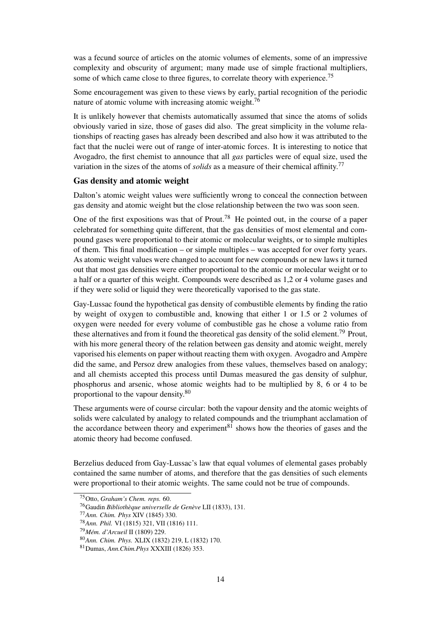was a fecund source of articles on the atomic volumes of elements, some of an impressive complexity and obscurity of argument; many made use of simple fractional multipliers, some of which came close to three figures, to correlate theory with experience.<sup>75</sup>

Some encouragement was given to these views by early, partial recognition of the periodic nature of atomic volume with increasing atomic weight.<sup>76</sup>

It is unlikely however that chemists automatically assumed that since the atoms of solids obviously varied in size, those of gases did also. The great simplicity in the volume relationships of reacting gases has already been described and also how it was attributed to the fact that the nuclei were out of range of inter-atomic forces. It is interesting to notice that Avogadro, the first chemist to announce that all *gas* particles were of equal size, used the variation in the sizes of the atoms of *solids* as a measure of their chemical affinity.<sup>77</sup>

#### Gas density and atomic weight

Dalton's atomic weight values were sufficiently wrong to conceal the connection between gas density and atomic weight but the close relationship between the two was soon seen.

One of the first expositions was that of Prout.<sup>78</sup> He pointed out, in the course of a paper celebrated for something quite different, that the gas densities of most elemental and compound gases were proportional to their atomic or molecular weights, or to simple multiples of them. This final modification – or simple multiples – was accepted for over forty years. As atomic weight values were changed to account for new compounds or new laws it turned out that most gas densities were either proportional to the atomic or molecular weight or to a half or a quarter of this weight. Compounds were described as 1,2 or 4 volume gases and if they were solid or liquid they were theoretically vaporised to the gas state.

Gay-Lussac found the hypothetical gas density of combustible elements by finding the ratio by weight of oxygen to combustible and, knowing that either 1 or 1.5 or 2 volumes of oxygen were needed for every volume of combustible gas he chose a volume ratio from these alternatives and from it found the theoretical gas density of the solid element.<sup>79</sup> Prout, with his more general theory of the relation between gas density and atomic weight, merely vaporised his elements on paper without reacting them with oxygen. Avogadro and Ampère did the same, and Persoz drew analogies from these values, themselves based on analogy; and all chemists accepted this process until Dumas measured the gas density of sulphur, phosphorus and arsenic, whose atomic weights had to be multiplied by 8, 6 or 4 to be proportional to the vapour density.<sup>80</sup>

These arguments were of course circular: both the vapour density and the atomic weights of solids were calculated by analogy to related compounds and the triumphant acclamation of the accordance between theory and experiment<sup>81</sup> shows how the theories of gases and the atomic theory had become confused.

Berzelius deduced from Gay-Lussac's law that equal volumes of elemental gases probably contained the same number of atoms, and therefore that the gas densities of such elements were proportional to their atomic weights. The same could not be true of compounds.

<sup>75</sup>Otto, *Graham's Chem. reps.* 60.

<sup>76</sup>Gaudin *Bibliothèque universelle de Genève* LII (1833), 131.

<sup>77</sup>*Ann. Chim. Phys* XIV (1845) 330.

<sup>78</sup>*Ann. Phil.* VI (1815) 321, VII (1816) 111.

<sup>79</sup>*Mém. d'Arcueil* II (1809) 229.

<sup>80</sup>*Ann. Chim. Phys.* XLIX (1832) 219, L (1832) 170.

<sup>81</sup>Dumas, *Ann.Chim.Phys* XXXIII (1826) 353.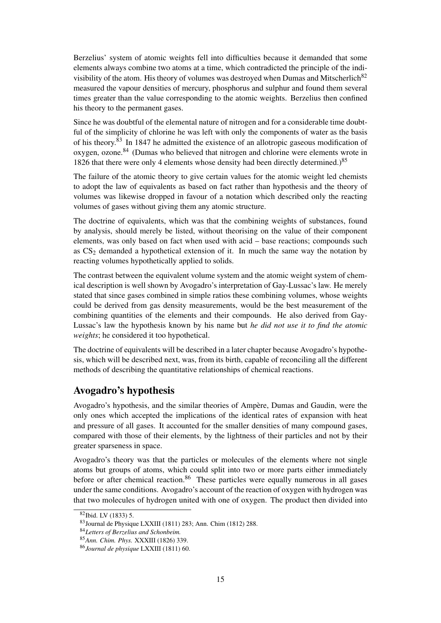Berzelius' system of atomic weights fell into difficulties because it demanded that some elements always combine two atoms at a time, which contradicted the principle of the indivisibility of the atom. His theory of volumes was destroyed when Dumas and Mitscherlich<sup>82</sup> measured the vapour densities of mercury, phosphorus and sulphur and found them several times greater than the value corresponding to the atomic weights. Berzelius then confined his theory to the permanent gases.

Since he was doubtful of the elemental nature of nitrogen and for a considerable time doubtful of the simplicity of chlorine he was left with only the components of water as the basis of his theory. $83$  In 1847 he admitted the existence of an allotropic gaseous modification of oxygen, ozone.<sup>84</sup> (Dumas who believed that nitrogen and chlorine were elements wrote in 1826 that there were only 4 elements whose density had been directly determined.)<sup>85</sup>

The failure of the atomic theory to give certain values for the atomic weight led chemists to adopt the law of equivalents as based on fact rather than hypothesis and the theory of volumes was likewise dropped in favour of a notation which described only the reacting volumes of gases without giving them any atomic structure.

The doctrine of equivalents, which was that the combining weights of substances, found by analysis, should merely be listed, without theorising on the value of their component elements, was only based on fact when used with acid – base reactions; compounds such as  $CS<sub>2</sub>$  demanded a hypothetical extension of it. In much the same way the notation by reacting volumes hypothetically applied to solids.

The contrast between the equivalent volume system and the atomic weight system of chemical description is well shown by Avogadro's interpretation of Gay-Lussac's law. He merely stated that since gases combined in simple ratios these combining volumes, whose weights could be derived from gas density measurements, would be the best measurement of the combining quantities of the elements and their compounds. He also derived from Gay-Lussac's law the hypothesis known by his name but *he did not use it to find the atomic weights*; he considered it too hypothetical.

The doctrine of equivalents will be described in a later chapter because Avogadro's hypothesis, which will be described next, was, from its birth, capable of reconciling all the different methods of describing the quantitative relationships of chemical reactions.

## Avogadro's hypothesis

Avogadro's hypothesis, and the similar theories of Ampère, Dumas and Gaudin, were the only ones which accepted the implications of the identical rates of expansion with heat and pressure of all gases. It accounted for the smaller densities of many compound gases, compared with those of their elements, by the lightness of their particles and not by their greater sparseness in space.

Avogadro's theory was that the particles or molecules of the elements where not single atoms but groups of atoms, which could split into two or more parts either immediately before or after chemical reaction.<sup>86</sup> These particles were equally numerous in all gases under the same conditions. Avogadro's account of the reaction of oxygen with hydrogen was that two molecules of hydrogen united with one of oxygen. The product then divided into

<sup>82</sup>Ibid. LV (1833) 5.

<sup>83</sup>Journal de Physique LXXIII (1811) 283; Ann. Chim (1812) 288.

<sup>84</sup>*Letters of Berzelius and Schonbeim.*

<sup>85</sup>*Ann. Chim. Phys.* XXXIII (1826) 339.

<sup>86</sup>*Journal de physique* LXXIII (1811) 60.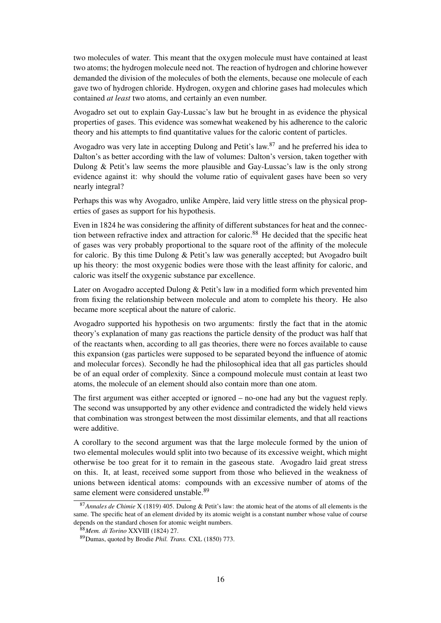two molecules of water. This meant that the oxygen molecule must have contained at least two atoms; the hydrogen molecule need not. The reaction of hydrogen and chlorine however demanded the division of the molecules of both the elements, because one molecule of each gave two of hydrogen chloride. Hydrogen, oxygen and chlorine gases had molecules which contained *at least* two atoms, and certainly an even number.

Avogadro set out to explain Gay-Lussac's law but he brought in as evidence the physical properties of gases. This evidence was somewhat weakened by his adherence to the caloric theory and his attempts to find quantitative values for the caloric content of particles.

Avogadro was very late in accepting Dulong and Petit's law.<sup>87</sup> and he preferred his idea to Dalton's as better according with the law of volumes: Dalton's version, taken together with Dulong & Petit's law seems the more plausible and Gay-Lussac's law is the only strong evidence against it: why should the volume ratio of equivalent gases have been so very nearly integral?

Perhaps this was why Avogadro, unlike Ampère, laid very little stress on the physical properties of gases as support for his hypothesis.

Even in 1824 he was considering the affinity of different substances for heat and the connection between refractive index and attraction for caloric.<sup>88</sup> He decided that the specific heat of gases was very probably proportional to the square root of the affinity of the molecule for caloric. By this time Dulong & Petit's law was generally accepted; but Avogadro built up his theory: the most oxygenic bodies were those with the least affinity for caloric, and caloric was itself the oxygenic substance par excellence.

Later on Avogadro accepted Dulong & Petit's law in a modified form which prevented him from fixing the relationship between molecule and atom to complete his theory. He also became more sceptical about the nature of caloric.

Avogadro supported his hypothesis on two arguments: firstly the fact that in the atomic theory's explanation of many gas reactions the particle density of the product was half that of the reactants when, according to all gas theories, there were no forces available to cause this expansion (gas particles were supposed to be separated beyond the influence of atomic and molecular forces). Secondly he had the philosophical idea that all gas particles should be of an equal order of complexity. Since a compound molecule must contain at least two atoms, the molecule of an element should also contain more than one atom.

The first argument was either accepted or ignored – no-one had any but the vaguest reply. The second was unsupported by any other evidence and contradicted the widely held views that combination was strongest between the most dissimilar elements, and that all reactions were additive.

A corollary to the second argument was that the large molecule formed by the union of two elemental molecules would split into two because of its excessive weight, which might otherwise be too great for it to remain in the gaseous state. Avogadro laid great stress on this. It, at least, received some support from those who believed in the weakness of unions between identical atoms: compounds with an excessive number of atoms of the same element were considered unstable.<sup>89</sup>

<sup>87</sup>*Annales de Chimie* X (1819) 405. Dulong & Petit's law: the atomic heat of the atoms of all elements is the same. The specific heat of an element divided by its atomic weight is a constant number whose value of course depends on the standard chosen for atomic weight numbers.

<sup>88</sup>*Mem. di Torino* XXVIII (1824) 27.

<sup>89</sup>Dumas, quoted by Brodie *Phil. Trans.* CXL (1850) 773.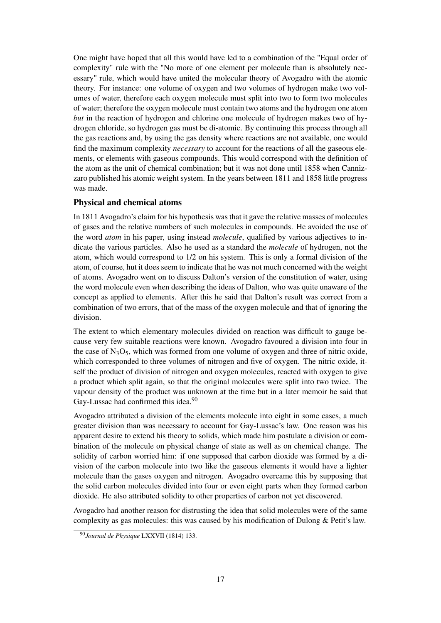One might have hoped that all this would have led to a combination of the "Equal order of complexity" rule with the "No more of one element per molecule than is absolutely necessary" rule, which would have united the molecular theory of Avogadro with the atomic theory. For instance: one volume of oxygen and two volumes of hydrogen make two volumes of water, therefore each oxygen molecule must split into two to form two molecules of water; therefore the oxygen molecule must contain two atoms and the hydrogen one atom *but* in the reaction of hydrogen and chlorine one molecule of hydrogen makes two of hydrogen chloride, so hydrogen gas must be di-atomic. By continuing this process through all the gas reactions and, by using the gas density where reactions are not available, one would find the maximum complexity *necessary* to account for the reactions of all the gaseous elements, or elements with gaseous compounds. This would correspond with the definition of the atom as the unit of chemical combination; but it was not done until 1858 when Cannizzaro published his atomic weight system. In the years between 1811 and 1858 little progress was made.

### Physical and chemical atoms

In 1811 Avogadro's claim for his hypothesis was that it gave the relative masses of molecules of gases and the relative numbers of such molecules in compounds. He avoided the use of the word *atom* in his paper, using instead *molecule*, qualified by various adjectives to indicate the various particles. Also he used as a standard the *molecule* of hydrogen, not the atom, which would correspond to 1/2 on his system. This is only a formal division of the atom, of course, hut it does seem to indicate that he was not much concerned with the weight of atoms. Avogadro went on to discuss Dalton's version of the constitution of water, using the word molecule even when describing the ideas of Dalton, who was quite unaware of the concept as applied to elements. After this he said that Dalton's result was correct from a combination of two errors, that of the mass of the oxygen molecule and that of ignoring the division.

The extent to which elementary molecules divided on reaction was difficult to gauge because very few suitable reactions were known. Avogadro favoured a division into four in the case of  $N_3O_5$ , which was formed from one volume of oxygen and three of nitric oxide, which corresponded to three volumes of nitrogen and five of oxygen. The nitric oxide, itself the product of division of nitrogen and oxygen molecules, reacted with oxygen to give a product which split again, so that the original molecules were split into two twice. The vapour density of the product was unknown at the time but in a later memoir he said that Gay-Lussac had confirmed this idea.<sup>90</sup>

Avogadro attributed a division of the elements molecule into eight in some cases, a much greater division than was necessary to account for Gay-Lussac's law. One reason was his apparent desire to extend his theory to solids, which made him postulate a division or combination of the molecule on physical change of state as well as on chemical change. The solidity of carbon worried him: if one supposed that carbon dioxide was formed by a division of the carbon molecule into two like the gaseous elements it would have a lighter molecule than the gases oxygen and nitrogen. Avogadro overcame this by supposing that the solid carbon molecules divided into four or even eight parts when they formed carbon dioxide. He also attributed solidity to other properties of carbon not yet discovered.

Avogadro had another reason for distrusting the idea that solid molecules were of the same complexity as gas molecules: this was caused by his modification of Dulong & Petit's law.

<sup>90</sup>*Journal de Physique* LXXVII (1814) 133.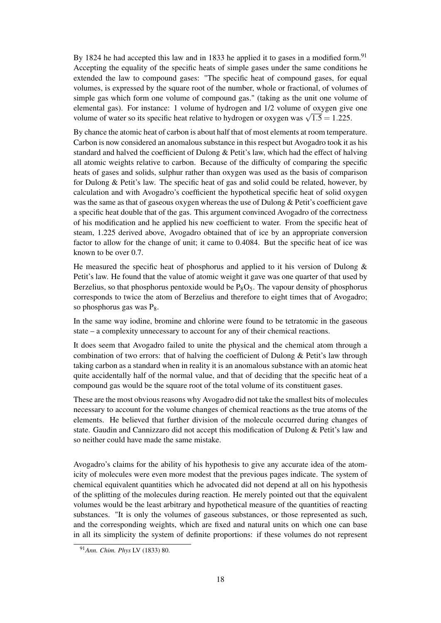By 1824 he had accepted this law and in 1833 he applied it to gases in a modified form.<sup>91</sup> Accepting the equality of the specific heats of simple gases under the same conditions he extended the law to compound gases: "The specific heat of compound gases, for equal volumes, is expressed by the square root of the number, whole or fractional, of volumes of simple gas which form one volume of compound gas." (taking as the unit one volume of elemental gas). For instance: 1 volume of hydrogen and 1/2 volume of oxygen give one elemental gas). For instance: 1 volume of nydrogen and 1/2 volume of oxygen give<br>volume of water so its specific heat relative to hydrogen or oxygen was  $\sqrt{1.5} = 1.225$ .

By chance the atomic heat of carbon is about half that of most elements at room temperature. Carbon is now considered an anomalous substance in this respect but Avogadro took it as his standard and halved the coefficient of Dulong & Petit's law, which had the effect of halving all atomic weights relative to carbon. Because of the difficulty of comparing the specific heats of gases and solids, sulphur rather than oxygen was used as the basis of comparison for Dulong & Petit's law. The specific heat of gas and solid could be related, however, by calculation and with Avogadro's coefficient the hypothetical specific heat of solid oxygen was the same as that of gaseous oxygen whereas the use of Dulong & Petit's coefficient gave a specific heat double that of the gas. This argument convinced Avogadro of the correctness of his modification and he applied his new coefficient to water. From the specific heat of steam, 1.225 derived above, Avogadro obtained that of ice by an appropriate conversion factor to allow for the change of unit; it came to 0.4084. But the specific heat of ice was known to be over 0.7.

He measured the specific heat of phosphorus and applied to it his version of Dulong  $\&$ Petit's law. He found that the value of atomic weight it gave was one quarter of that used by Berzelius, so that phosphorus pentoxide would be  $P_8O_5$ . The vapour density of phosphorus corresponds to twice the atom of Berzelius and therefore to eight times that of Avogadro; so phosphorus gas was  $P_8$ .

In the same way iodine, bromine and chlorine were found to be tetratomic in the gaseous state – a complexity unnecessary to account for any of their chemical reactions.

It does seem that Avogadro failed to unite the physical and the chemical atom through a combination of two errors: that of halving the coefficient of Dulong & Petit's law through taking carbon as a standard when in reality it is an anomalous substance with an atomic heat quite accidentally half of the normal value, and that of deciding that the specific heat of a compound gas would be the square root of the total volume of its constituent gases.

These are the most obvious reasons why Avogadro did not take the smallest bits of molecules necessary to account for the volume changes of chemical reactions as the true atoms of the elements. He believed that further division of the molecule occurred during changes of state. Gaudin and Cannizzaro did not accept this modification of Dulong & Petit's law and so neither could have made the same mistake.

Avogadro's claims for the ability of his hypothesis to give any accurate idea of the atomicity of molecules were even more modest that the previous pages indicate. The system of chemical equivalent quantities which he advocated did not depend at all on his hypothesis of the splitting of the molecules during reaction. He merely pointed out that the equivalent volumes would be the least arbitrary and hypothetical measure of the quantities of reacting substances. "It is only the volumes of gaseous substances, or those represented as such, and the corresponding weights, which are fixed and natural units on which one can base in all its simplicity the system of definite proportions: if these volumes do not represent

<sup>91</sup>*Ann. Chim. Phys* LV (1833) 80.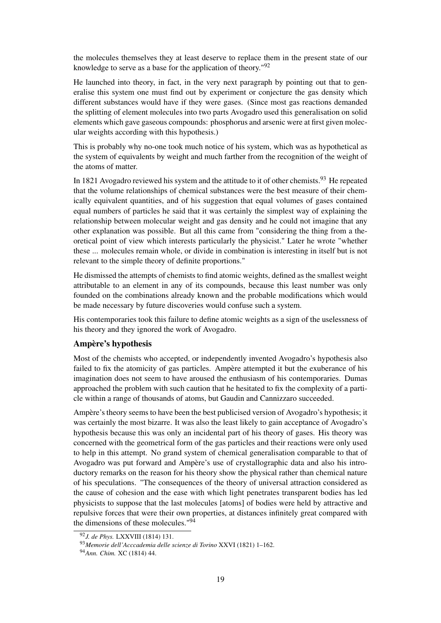the molecules themselves they at least deserve to replace them in the present state of our knowledge to serve as a base for the application of theory."<sup>92</sup>

He launched into theory, in fact, in the very next paragraph by pointing out that to generalise this system one must find out by experiment or conjecture the gas density which different substances would have if they were gases. (Since most gas reactions demanded the splitting of element molecules into two parts Avogadro used this generalisation on solid elements which gave gaseous compounds: phosphorus and arsenic were at first given molecular weights according with this hypothesis.)

This is probably why no-one took much notice of his system, which was as hypothetical as the system of equivalents by weight and much farther from the recognition of the weight of the atoms of matter.

In 1821 Avogadro reviewed his system and the attitude to it of other chemists.<sup>93</sup> He repeated that the volume relationships of chemical substances were the best measure of their chemically equivalent quantities, and of his suggestion that equal volumes of gases contained equal numbers of particles he said that it was certainly the simplest way of explaining the relationship between molecular weight and gas density and he could not imagine that any other explanation was possible. But all this came from "considering the thing from a theoretical point of view which interests particularly the physicist." Later he wrote "whether these ... molecules remain whole, or divide in combination is interesting in itself but is not relevant to the simple theory of definite proportions."

He dismissed the attempts of chemists to find atomic weights, defined as the smallest weight attributable to an element in any of its compounds, because this least number was only founded on the combinations already known and the probable modifications which would be made necessary by future discoveries would confuse such a system.

His contemporaries took this failure to define atomic weights as a sign of the uselessness of his theory and they ignored the work of Avogadro.

#### Ampère's hypothesis

Most of the chemists who accepted, or independently invented Avogadro's hypothesis also failed to fix the atomicity of gas particles. Ampère attempted it but the exuberance of his imagination does not seem to have aroused the enthusiasm of his contemporaries. Dumas approached the problem with such caution that he hesitated to fix the complexity of a particle within a range of thousands of atoms, but Gaudin and Cannizzaro succeeded.

Ampère's theory seems to have been the best publicised version of Avogadro's hypothesis; it was certainly the most bizarre. It was also the least likely to gain acceptance of Avogadro's hypothesis because this was only an incidental part of his theory of gases. His theory was concerned with the geometrical form of the gas particles and their reactions were only used to help in this attempt. No grand system of chemical generalisation comparable to that of Avogadro was put forward and Ampère's use of crystallographic data and also his introductory remarks on the reason for his theory show the physical rather than chemical nature of his speculations. "The consequences of the theory of universal attraction considered as the cause of cohesion and the ease with which light penetrates transparent bodies has led physicists to suppose that the last molecules [atoms] of bodies were held by attractive and repulsive forces that were their own properties, at distances infinitely great compared with the dimensions of these molecules." $94$ 

<sup>92</sup>*J. de Phys.* LXXVIII (1814) 131.

<sup>93</sup>*Memorie dell'Acccademia delle scienze di Torino* XXVI (1821) 1–162.

<sup>94</sup>*Ann. Chim.* XC (1814) 44.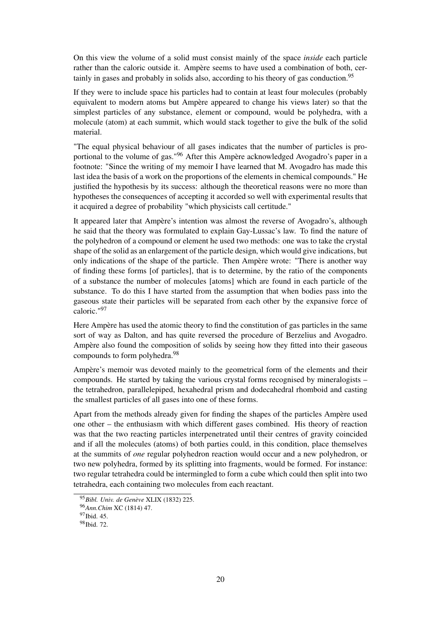On this view the volume of a solid must consist mainly of the space *inside* each particle rather than the caloric outside it. Ampère seems to have used a combination of both, certainly in gases and probably in solids also, according to his theory of gas conduction.<sup>95</sup>

If they were to include space his particles had to contain at least four molecules (probably equivalent to modern atoms but Ampère appeared to change his views later) so that the simplest particles of any substance, element or compound, would be polyhedra, with a molecule (atom) at each summit, which would stack together to give the bulk of the solid material.

"The equal physical behaviour of all gases indicates that the number of particles is proportional to the volume of gas."<sup>96</sup> After this Ampère acknowledged Avogadro's paper in a footnote: "Since the writing of my memoir I have learned that M. Avogadro has made this last idea the basis of a work on the proportions of the elements in chemical compounds." He justified the hypothesis by its success: although the theoretical reasons were no more than hypotheses the consequences of accepting it accorded so well with experimental results that it acquired a degree of probability "which physicists call certitude."

It appeared later that Ampère's intention was almost the reverse of Avogadro's, although he said that the theory was formulated to explain Gay-Lussac's law. To find the nature of the polyhedron of a compound or element he used two methods: one was to take the crystal shape of the solid as an enlargement of the particle design, which would give indications, but only indications of the shape of the particle. Then Ampère wrote: "There is another way of finding these forms [of particles], that is to determine, by the ratio of the components of a substance the number of molecules [atoms] which are found in each particle of the substance. To do this I have started from the assumption that when bodies pass into the gaseous state their particles will be separated from each other by the expansive force of caloric."<sup>97</sup>

Here Ampère has used the atomic theory to find the constitution of gas particles in the same sort of way as Dalton, and has quite reversed the procedure of Berzelius and Avogadro. Ampère also found the composition of solids by seeing how they fitted into their gaseous compounds to form polyhedra.<sup>98</sup>

Ampère's memoir was devoted mainly to the geometrical form of the elements and their compounds. He started by taking the various crystal forms recognised by mineralogists – the tetrahedron, parallelepiped, hexahedral prism and dodecahedral rhomboid and casting the smallest particles of all gases into one of these forms.

Apart from the methods already given for finding the shapes of the particles Ampère used one other – the enthusiasm with which different gases combined. His theory of reaction was that the two reacting particles interpenetrated until their centres of gravity coincided and if all the molecules (atoms) of both parties could, in this condition, place themselves at the summits of *one* regular polyhedron reaction would occur and a new polyhedron, or two new polyhedra, formed by its splitting into fragments, would be formed. For instance: two regular tetrahedra could be intermingled to form a cube which could then split into two tetrahedra, each containing two molecules from each reactant.

<sup>95</sup>*Bibl. Univ. de Genève* XLIX (1832) 225.

<sup>96</sup>*Ann.Chim* XC (1814) 47.

<sup>97</sup>Ibid. 45.

<sup>98</sup>Ibid. 72.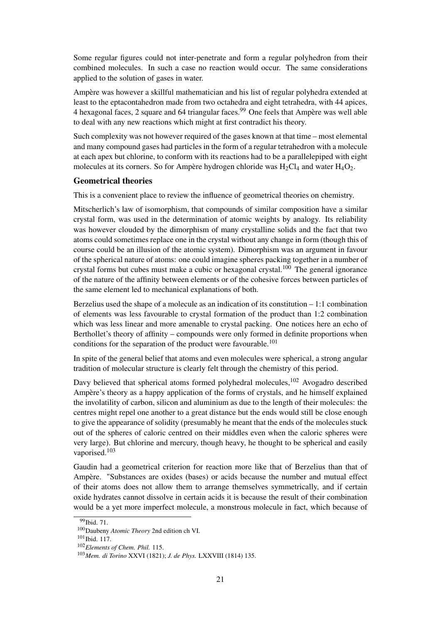Some regular figures could not inter-penetrate and form a regular polyhedron from their combined molecules. In such a case no reaction would occur. The same considerations applied to the solution of gases in water.

Ampère was however a skillful mathematician and his list of regular polyhedra extended at least to the eptacontahedron made from two octahedra and eight tetrahedra, with 44 apices, 4 hexagonal faces, 2 square and 64 triangular faces.<sup>99</sup> One feels that Ampère was well able to deal with any new reactions which might at first contradict his theory.

Such complexity was not however required of the gases known at that time – most elemental and many compound gases had particles in the form of a regular tetrahedron with a molecule at each apex but chlorine, to conform with its reactions had to be a parallelepiped with eight molecules at its corners. So for Ampère hydrogen chloride was  $H_2Cl_4$  and water  $H_4O_2$ .

#### Geometrical theories

This is a convenient place to review the influence of geometrical theories on chemistry.

Mitscherlich's law of isomorphism, that compounds of similar composition have a similar crystal form, was used in the determination of atomic weights by analogy. Its reliability was however clouded by the dimorphism of many crystalline solids and the fact that two atoms could sometimes replace one in the crystal without any change in form (though this of course could be an illusion of the atomic system). Dimorphism was an argument in favour of the spherical nature of atoms: one could imagine spheres packing together in a number of crystal forms but cubes must make a cubic or hexagonal crystal.<sup>100</sup> The general ignorance of the nature of the affinity between elements or of the cohesive forces between particles of the same element led to mechanical explanations of both.

Berzelius used the shape of a molecule as an indication of its constitution  $-1:1$  combination of elements was less favourable to crystal formation of the product than 1:2 combination which was less linear and more amenable to crystal packing. One notices here an echo of Berthollet's theory of affinity – compounds were only formed in definite proportions when conditions for the separation of the product were favourable.<sup>101</sup>

In spite of the general belief that atoms and even molecules were spherical, a strong angular tradition of molecular structure is clearly felt through the chemistry of this period.

Davy believed that spherical atoms formed polyhedral molecules,<sup>102</sup> Avogadro described Ampère's theory as a happy application of the forms of crystals, and he himself explained the involatility of carbon, silicon and aluminium as due to the length of their molecules: the centres might repel one another to a great distance but the ends would still be close enough to give the appearance of solidity (presumably he meant that the ends of the molecules stuck out of the spheres of caloric centred on their middles even when the caloric spheres were very large). But chlorine and mercury, though heavy, he thought to be spherical and easily vaporised.<sup>103</sup>

Gaudin had a geometrical criterion for reaction more like that of Berzelius than that of Ampère. "Substances are oxides (bases) or acids because the number and mutual effect of their atoms does not allow them to arrange themselves symmetrically, and if certain oxide hydrates cannot dissolve in certain acids it is because the result of their combination would be a yet more imperfect molecule, a monstrous molecule in fact, which because of

 $\overline{99}$ Ibid. 71.

<sup>100</sup>Daubeny *Atomic Theory* 2nd edition ch VI.

<sup>&</sup>lt;sup>101</sup>Ibid. 117.

<sup>102</sup>*Elements of Chem. Phil.* 115.

<sup>103</sup>*Mem. di Torino* XXVI (1821); *J. de Phys.* LXXVIII (1814) 135.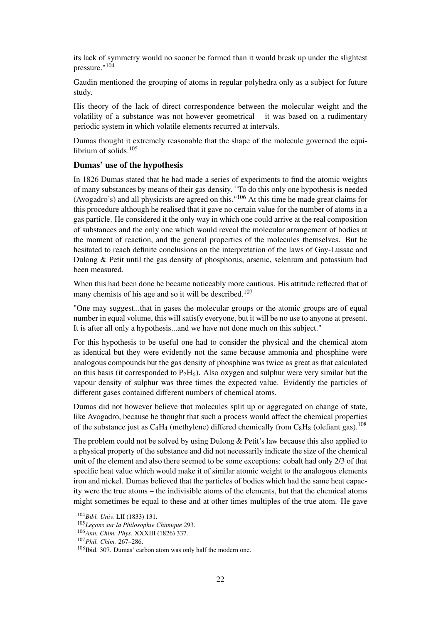its lack of symmetry would no sooner be formed than it would break up under the slightest pressure."<sup>104</sup>

Gaudin mentioned the grouping of atoms in regular polyhedra only as a subject for future study.

His theory of the lack of direct correspondence between the molecular weight and the volatility of a substance was not however geometrical – it was based on a rudimentary periodic system in which volatile elements recurred at intervals.

Dumas thought it extremely reasonable that the shape of the molecule governed the equilibrium of solids.<sup>105</sup>

#### Dumas' use of the hypothesis

In 1826 Dumas stated that he had made a series of experiments to find the atomic weights of many substances by means of their gas density. "To do this only one hypothesis is needed (Avogadro's) and all physicists are agreed on this."<sup>106</sup> At this time he made great claims for this procedure although he realised that it gave no certain value for the number of atoms in a gas particle. He considered it the only way in which one could arrive at the real composition of substances and the only one which would reveal the molecular arrangement of bodies at the moment of reaction, and the general properties of the molecules themselves. But he hesitated to reach definite conclusions on the interpretation of the laws of Gay-Lussac and Dulong & Petit until the gas density of phosphorus, arsenic, selenium and potassium had been measured.

When this had been done he became noticeably more cautious. His attitude reflected that of many chemists of his age and so it will be described.<sup>107</sup>

"One may suggest...that in gases the molecular groups or the atomic groups are of equal number in equal volume, this will satisfy everyone, but it will be no use to anyone at present. It is after all only a hypothesis...and we have not done much on this subject."

For this hypothesis to be useful one had to consider the physical and the chemical atom as identical but they were evidently not the same because ammonia and phosphine were analogous compounds but the gas density of phosphine was twice as great as that calculated on this basis (it corresponded to  $P_2H_6$ ). Also oxygen and sulphur were very similar but the vapour density of sulphur was three times the expected value. Evidently the particles of different gases contained different numbers of chemical atoms.

Dumas did not however believe that molecules split up or aggregated on change of state, like Avogadro, because he thought that such a process would affect the chemical properties of the substance just as  $C_4H_4$  (methylene) differed chemically from  $C_8H_8$  (olefiant gas).<sup>108</sup>

The problem could not be solved by using Dulong  $&$  Petit's law because this also applied to a physical property of the substance and did not necessarily indicate the size of the chemical unit of the element and also there seemed to be some exceptions: cobalt had only 2/3 of that specific heat value which would make it of similar atomic weight to the analogous elements iron and nickel. Dumas believed that the particles of bodies which had the same heat capacity were the true atoms – the indivisible atoms of the elements, but that the chemical atoms might sometimes be equal to these and at other times multiples of the true atom. He gave

<sup>104</sup>*Bibl. Univ.* LII (1833) 131.

<sup>105</sup>*Leçons sur la Philosophie Chimique* 293.

<sup>106</sup>*Ann. Chim. Phys.* XXXIII (1826) 337.

<sup>107</sup>*Phil. Chim.* 267–286.

<sup>108</sup>Ibid. 307. Dumas' carbon atom was only half the modern one.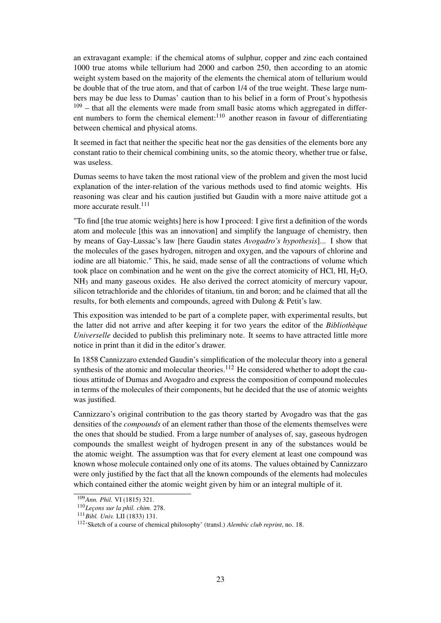an extravagant example: if the chemical atoms of sulphur, copper and zinc each contained 1000 true atoms while tellurium had 2000 and carbon 250, then according to an atomic weight system based on the majority of the elements the chemical atom of tellurium would be double that of the true atom, and that of carbon 1/4 of the true weight. These large numbers may be due less to Dumas' caution than to his belief in a form of Prout's hypothesis  $109$  – that all the elements were made from small basic atoms which aggregated in different numbers to form the chemical element: $110$  another reason in favour of differentiating between chemical and physical atoms.

It seemed in fact that neither the specific heat nor the gas densities of the elements bore any constant ratio to their chemical combining units, so the atomic theory, whether true or false, was useless.

Dumas seems to have taken the most rational view of the problem and given the most lucid explanation of the inter-relation of the various methods used to find atomic weights. His reasoning was clear and his caution justified but Gaudin with a more naive attitude got a more accurate result <sup>111</sup>

"To find [the true atomic weights] here is how I proceed: I give first a definition of the words atom and molecule [this was an innovation] and simplify the language of chemistry, then by means of Gay-Lussac's law [here Gaudin states *Avogadro's hypothesis*]... I show that the molecules of the gases hydrogen, nitrogen and oxygen, and the vapours of chlorine and iodine are all biatomic." This, he said, made sense of all the contractions of volume which took place on combination and he went on the give the correct atomicity of HCl, HI,  $H_2O$ ,  $NH<sub>3</sub>$  and many gaseous oxides. He also derived the correct atomicity of mercury vapour, silicon tetrachloride and the chlorides of titanium, tin and boron; and he claimed that all the results, for both elements and compounds, agreed with Dulong & Petit's law.

This exposition was intended to be part of a complete paper, with experimental results, but the latter did not arrive and after keeping it for two years the editor of the *Bibliothèque Universelle* decided to publish this preliminary note. It seems to have attracted little more notice in print than it did in the editor's drawer.

In 1858 Cannizzaro extended Gaudin's simplification of the molecular theory into a general synthesis of the atomic and molecular theories.<sup>112</sup> He considered whether to adopt the cautious attitude of Dumas and Avogadro and express the composition of compound molecules in terms of the molecules of their components, but he decided that the use of atomic weights was justified.

Cannizzaro's original contribution to the gas theory started by Avogadro was that the gas densities of the *compounds* of an element rather than those of the elements themselves were the ones that should be studied. From a large number of analyses of, say, gaseous hydrogen compounds the smallest weight of hydrogen present in any of the substances would be the atomic weight. The assumption was that for every element at least one compound was known whose molecule contained only one of its atoms. The values obtained by Cannizzaro were only justified by the fact that all the known compounds of the elements had molecules which contained either the atomic weight given by him or an integral multiple of it.

<sup>109</sup>*Ann. Phil.* VI (1815) 321.

<sup>110</sup>*Leçons sur la phil. chim.* 278.

<sup>111</sup>*Bibl. Univ.* LII (1833) 131.

<sup>112</sup>'Sketch of a course of chemical philosophy' (transl.) *Alembic club reprint*, no. 18.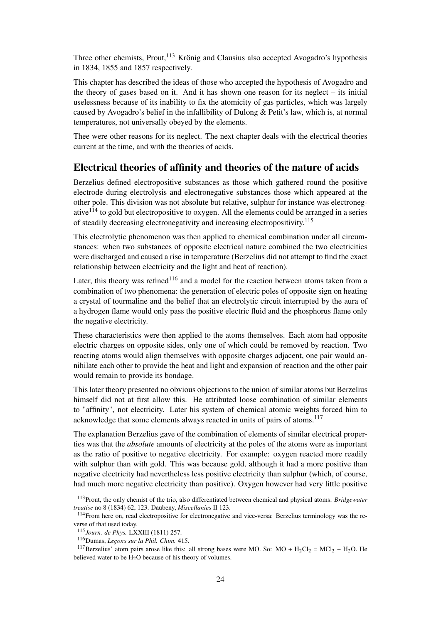Three other chemists, Prout,<sup>113</sup> Krönig and Clausius also accepted Avogadro's hypothesis in 1834, 1855 and 1857 respectively.

This chapter has described the ideas of those who accepted the hypothesis of Avogadro and the theory of gases based on it. And it has shown one reason for its neglect – its initial uselessness because of its inability to fix the atomicity of gas particles, which was largely caused by Avogadro's belief in the infallibility of Dulong & Petit's law, which is, at normal temperatures, not universally obeyed by the elements.

Thee were other reasons for its neglect. The next chapter deals with the electrical theories current at the time, and with the theories of acids.

### Electrical theories of affinity and theories of the nature of acids

Berzelius defined electropositive substances as those which gathered round the positive electrode during electrolysis and electronegative substances those which appeared at the other pole. This division was not absolute but relative, sulphur for instance was electronegative $114$  to gold but electropositive to oxygen. All the elements could be arranged in a series of steadily decreasing electronegativity and increasing electropositivity.<sup>115</sup>

This electrolytic phenomenon was then applied to chemical combination under all circumstances: when two substances of opposite electrical nature combined the two electricities were discharged and caused a rise in temperature (Berzelius did not attempt to find the exact relationship between electricity and the light and heat of reaction).

Later, this theory was refined<sup>116</sup> and a model for the reaction between atoms taken from a combination of two phenomena: the generation of electric poles of opposite sign on heating a crystal of tourmaline and the belief that an electrolytic circuit interrupted by the aura of a hydrogen flame would only pass the positive electric fluid and the phosphorus flame only the negative electricity.

These characteristics were then applied to the atoms themselves. Each atom had opposite electric charges on opposite sides, only one of which could be removed by reaction. Two reacting atoms would align themselves with opposite charges adjacent, one pair would annihilate each other to provide the heat and light and expansion of reaction and the other pair would remain to provide its bondage.

This later theory presented no obvious objections to the union of similar atoms but Berzelius himself did not at first allow this. He attributed loose combination of similar elements to "affinity", not electricity. Later his system of chemical atomic weights forced him to acknowledge that some elements always reacted in units of pairs of atoms.<sup>117</sup>

The explanation Berzelius gave of the combination of elements of similar electrical properties was that the *absolute* amounts of electricity at the poles of the atoms were as important as the ratio of positive to negative electricity. For example: oxygen reacted more readily with sulphur than with gold. This was because gold, although it had a more positive than negative electricity had nevertheless less positive electricity than sulphur (which, of course, had much more negative electricity than positive). Oxygen however had very little positive

<sup>113</sup>Prout, the only chemist of the trio, also differentiated between chemical and physical atoms: *Bridgewater treatise* no 8 (1834) 62, 123. Daubeny, *Miscellanies* II 123.

<sup>114</sup>From here on, read electropositive for electronegative and vice-versa: Berzelius terminology was the reverse of that used today.

<sup>115</sup>*Journ. de Phys.* LXXIII (1811) 257.

<sup>116</sup>Dumas, *Leçons sur la Phil. Chim.* 415.

<sup>&</sup>lt;sup>117</sup>Berzelius' atom pairs arose like this: all strong bases were MO. So: MO + H<sub>2</sub>Cl<sub>2</sub> = MCl<sub>2</sub> + H<sub>2</sub>O. He believed water to be  $H_2O$  because of his theory of volumes.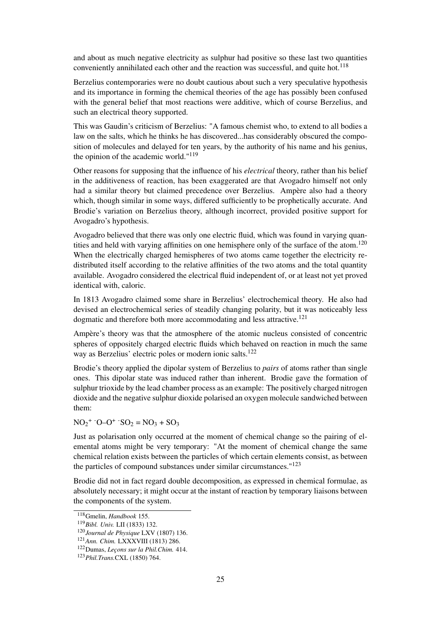and about as much negative electricity as sulphur had positive so these last two quantities conveniently annihilated each other and the reaction was successful, and quite hot.<sup>118</sup>

Berzelius contemporaries were no doubt cautious about such a very speculative hypothesis and its importance in forming the chemical theories of the age has possibly been confused with the general belief that most reactions were additive, which of course Berzelius, and such an electrical theory supported.

This was Gaudin's criticism of Berzelius: "A famous chemist who, to extend to all bodies a law on the salts, which he thinks he has discovered...has considerably obscured the composition of molecules and delayed for ten years, by the authority of his name and his genius, the opinion of the academic world."<sup>119</sup>

Other reasons for supposing that the influence of his *electrical* theory, rather than his belief in the additiveness of reaction, has been exaggerated are that Avogadro himself not only had a similar theory but claimed precedence over Berzelius. Ampère also had a theory which, though similar in some ways, differed sufficiently to be prophetically accurate. And Brodie's variation on Berzelius theory, although incorrect, provided positive support for Avogadro's hypothesis.

Avogadro believed that there was only one electric fluid, which was found in varying quantities and held with varying affinities on one hemisphere only of the surface of the atom.<sup>120</sup> When the electrically charged hemispheres of two atoms came together the electricity redistributed itself according to the relative affinities of the two atoms and the total quantity available. Avogadro considered the electrical fluid independent of, or at least not yet proved identical with, caloric.

In 1813 Avogadro claimed some share in Berzelius' electrochemical theory. He also had devised an electrochemical series of steadily changing polarity, but it was noticeably less dogmatic and therefore both more accommodating and less attractive.<sup>121</sup>

Ampère's theory was that the atmosphere of the atomic nucleus consisted of concentric spheres of oppositely charged electric fluids which behaved on reaction in much the same way as Berzelius' electric poles or modern ionic salts.<sup>122</sup>

Brodie's theory applied the dipolar system of Berzelius to *pairs* of atoms rather than single ones. This dipolar state was induced rather than inherent. Brodie gave the formation of sulphur trioxide by the lead chamber process as an example: The positively charged nitrogen dioxide and the negative sulphur dioxide polarised an oxygen molecule sandwiched between them:

 $NO_2^+$  -O–O<sup>+</sup> -SO<sub>2</sub> = NO<sub>3</sub> + SO<sub>3</sub>

Just as polarisation only occurred at the moment of chemical change so the pairing of elemental atoms might be very temporary: "At the moment of chemical change the same chemical relation exists between the particles of which certain elements consist, as between the particles of compound substances under similar circumstances."<sup>123</sup>

Brodie did not in fact regard double decomposition, as expressed in chemical formulae, as absolutely necessary; it might occur at the instant of reaction by temporary liaisons between the components of the system.

<sup>118</sup>Gmelin, *Handbook* 155.

<sup>119</sup>*Bibl. Univ.* LII (1833) 132.

<sup>120</sup>*Journal de Physique* LXV (1807) 136.

<sup>121</sup>*Ann. Chim.* LXXXVIII (1813) 286.

<sup>122</sup>Dumas, *Leçons sur la Phil.Chim.* 414.

<sup>123</sup>*Phil.Trans.*CXL (1850) 764.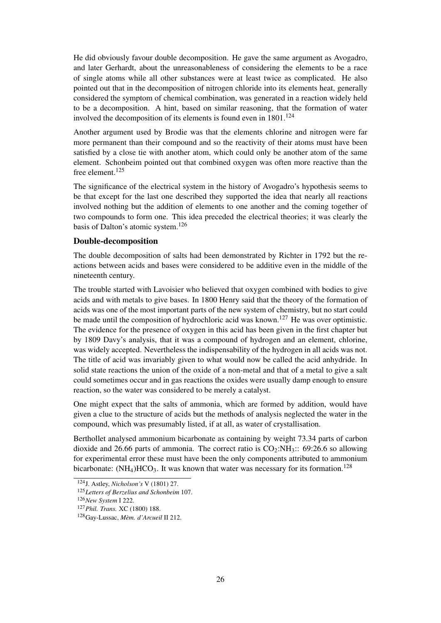He did obviously favour double decomposition. He gave the same argument as Avogadro, and later Gerhardt, about the unreasonableness of considering the elements to be a race of single atoms while all other substances were at least twice as complicated. He also pointed out that in the decomposition of nitrogen chloride into its elements heat, generally considered the symptom of chemical combination, was generated in a reaction widely held to be a decomposition. A hint, based on similar reasoning, that the formation of water involved the decomposition of its elements is found even in 1801.<sup>124</sup>

Another argument used by Brodie was that the elements chlorine and nitrogen were far more permanent than their compound and so the reactivity of their atoms must have been satisfied by a close tie with another atom, which could only be another atom of the same element. Schonbeim pointed out that combined oxygen was often more reactive than the free element.<sup>125</sup>

The significance of the electrical system in the history of Avogadro's hypothesis seems to be that except for the last one described they supported the idea that nearly all reactions involved nothing but the addition of elements to one another and the coming together of two compounds to form one. This idea preceded the electrical theories; it was clearly the basis of Dalton's atomic system.<sup>126</sup>

#### Double-decomposition

The double decomposition of salts had been demonstrated by Richter in 1792 but the reactions between acids and bases were considered to be additive even in the middle of the nineteenth century.

The trouble started with Lavoisier who believed that oxygen combined with bodies to give acids and with metals to give bases. In 1800 Henry said that the theory of the formation of acids was one of the most important parts of the new system of chemistry, but no start could be made until the composition of hydrochloric acid was known.<sup>127</sup> He was over optimistic. The evidence for the presence of oxygen in this acid has been given in the first chapter but by 1809 Davy's analysis, that it was a compound of hydrogen and an element, chlorine, was widely accepted. Nevertheless the indispensability of the hydrogen in all acids was not. The title of acid was invariably given to what would now be called the acid anhydride. In solid state reactions the union of the oxide of a non-metal and that of a metal to give a salt could sometimes occur and in gas reactions the oxides were usually damp enough to ensure reaction, so the water was considered to be merely a catalyst.

One might expect that the salts of ammonia, which are formed by addition, would have given a clue to the structure of acids but the methods of analysis neglected the water in the compound, which was presumably listed, if at all, as water of crystallisation.

Berthollet analysed ammonium bicarbonate as containing by weight 73.34 parts of carbon dioxide and 26.66 parts of ammonia. The correct ratio is  $CO<sub>2</sub>:NH<sub>3</sub>:$ : 69:26.6 so allowing for experimental error these must have been the only components attributed to ammonium bicarbonate:  $(NH_4)HCO_3$ . It was known that water was necessary for its formation.<sup>128</sup>

<sup>124</sup>J. Astley, *Nicholson's* V (1801) 27.

<sup>125</sup>*Letters of Berzelius and Schonbeim* 107.

<sup>126</sup>*New System* I 222.

<sup>127</sup>*Phil. Trans.* XC (1800) 188.

<sup>128</sup>Gay-Lussac, *Mèm. d'Arcueil* II 212.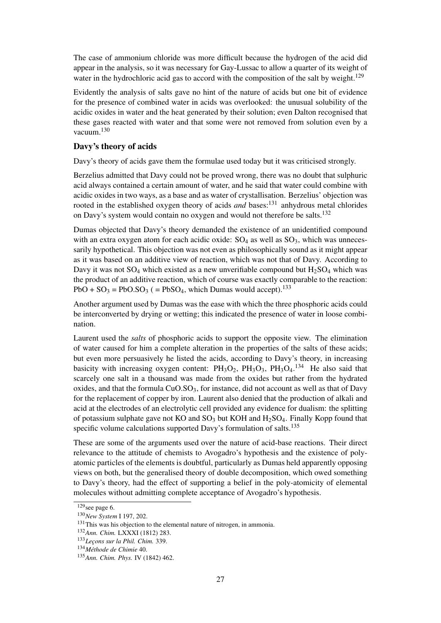The case of ammonium chloride was more difficult because the hydrogen of the acid did appear in the analysis, so it was necessary for Gay-Lussac to allow a quarter of its weight of water in the hydrochloric acid gas to accord with the composition of the salt by weight.<sup>129</sup>

Evidently the analysis of salts gave no hint of the nature of acids but one bit of evidence for the presence of combined water in acids was overlooked: the unusual solubility of the acidic oxides in water and the heat generated by their solution; even Dalton recognised that these gases reacted with water and that some were not removed from solution even by a vacuum<sup>130</sup>

### Davy's theory of acids

Davy's theory of acids gave them the formulae used today but it was criticised strongly.

Berzelius admitted that Davy could not be proved wrong, there was no doubt that sulphuric acid always contained a certain amount of water, and he said that water could combine with acidic oxides in two ways, as a base and as water of crystallisation. Berzelius' objection was rooted in the established oxygen theory of acids *and* bases:<sup>131</sup> anhydrous metal chlorides on Davy's system would contain no oxygen and would not therefore be salts.<sup>132</sup>

Dumas objected that Davy's theory demanded the existence of an unidentified compound with an extra oxygen atom for each acidic oxide:  $SO_4$  as well as  $SO_3$ , which was unnecessarily hypothetical. This objection was not even as philosophically sound as it might appear as it was based on an additive view of reaction, which was not that of Davy. According to Davy it was not  $SO_4$  which existed as a new unverifiable compound but  $H_2SO_4$  which was the product of an additive reaction, which of course was exactly comparable to the reaction:  $PbO + SO_3 = PbO.SO_3$  (=  $PbSO_4$ , which Dumas would accept).<sup>133</sup>

Another argument used by Dumas was the ease with which the three phosphoric acids could be interconverted by drying or wetting; this indicated the presence of water in loose combination.

Laurent used the *salts* of phosphoric acids to support the opposite view. The elimination of water caused for him a complete alteration in the properties of the salts of these acids; but even more persuasively he listed the acids, according to Davy's theory, in increasing basicity with increasing oxygen content:  $PH_3O_2$ ,  $PH_3O_3$ ,  $PH_3O_4$ .<sup>134</sup> He also said that scarcely one salt in a thousand was made from the oxides but rather from the hydrated oxides, and that the formula  $CuO.SO<sub>3</sub>$ , for instance, did not account as well as that of Davy for the replacement of copper by iron. Laurent also denied that the production of alkali and acid at the electrodes of an electrolytic cell provided any evidence for dualism: the splitting of potassium sulphate gave not  $KO$  and  $SO_3$  but  $KOH$  and  $H_2SO_4$ . Finally Kopp found that specific volume calculations supported Davy's formulation of salts.<sup>135</sup>

These are some of the arguments used over the nature of acid-base reactions. Their direct relevance to the attitude of chemists to Avogadro's hypothesis and the existence of polyatomic particles of the elements is doubtful, particularly as Dumas held apparently opposing views on both, but the generalised theory of double decomposition, which owed something to Davy's theory, had the effect of supporting a belief in the poly-atomicity of elemental molecules without admitting complete acceptance of Avogadro's hypothesis.

 $\frac{129}{129}$ see page 6.

<sup>130</sup>*New System* I 197, 202.

<sup>&</sup>lt;sup>131</sup>This was his objection to the elemental nature of nitrogen, in ammonia.

<sup>132</sup>*Ann. Chim.* LXXXI (1812) 283.

<sup>133</sup>*Leçons sur la Phil. Chim.* 339.

<sup>134</sup>*Méthode de Chimie* 40.

<sup>135</sup>*Ann. Chim. Phys.* IV (1842) 462.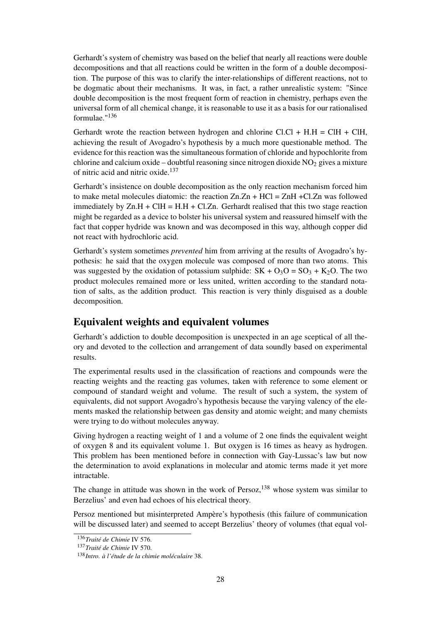Gerhardt's system of chemistry was based on the belief that nearly all reactions were double decompositions and that all reactions could be written in the form of a double decomposition. The purpose of this was to clarify the inter-relationships of different reactions, not to be dogmatic about their mechanisms. It was, in fact, a rather unrealistic system: "Since double decomposition is the most frequent form of reaction in chemistry, perhaps even the universal form of all chemical change, it is reasonable to use it as a basis for our rationalised formulae."<sup>136</sup>

Gerhardt wrote the reaction between hydrogen and chlorine Cl.Cl + H.H = ClH + ClH, achieving the result of Avogadro's hypothesis by a much more questionable method. The evidence for this reaction was the simultaneous formation of chloride and hypochlorite from chlorine and calcium oxide – doubtful reasoning since nitrogen dioxide  $NO<sub>2</sub>$  gives a mixture of nitric acid and nitric oxide.<sup>137</sup>

Gerhardt's insistence on double decomposition as the only reaction mechanism forced him to make metal molecules diatomic: the reaction  $Zn.Zn + HCl = ZnH + Cl.Zn$  was followed immediately by  $Zn.H + ClH = H.H + Cl.Zn$ . Gerhardt realised that this two stage reaction might be regarded as a device to bolster his universal system and reassured himself with the fact that copper hydride was known and was decomposed in this way, although copper did not react with hydrochloric acid.

Gerhardt's system sometimes *prevented* him from arriving at the results of Avogadro's hypothesis: he said that the oxygen molecule was composed of more than two atoms. This was suggested by the oxidation of potassium sulphide:  $SK + O<sub>3</sub>O = SO<sub>3</sub> + K<sub>2</sub>O$ . The two product molecules remained more or less united, written according to the standard notation of salts, as the addition product. This reaction is very thinly disguised as a double decomposition.

## Equivalent weights and equivalent volumes

Gerhardt's addiction to double decomposition is unexpected in an age sceptical of all theory and devoted to the collection and arrangement of data soundly based on experimental results.

The experimental results used in the classification of reactions and compounds were the reacting weights and the reacting gas volumes, taken with reference to some element or compound of standard weight and volume. The result of such a system, the system of equivalents, did not support Avogadro's hypothesis because the varying valency of the elements masked the relationship between gas density and atomic weight; and many chemists were trying to do without molecules anyway.

Giving hydrogen a reacting weight of 1 and a volume of 2 one finds the equivalent weight of oxygen 8 and its equivalent volume 1. But oxygen is 16 times as heavy as hydrogen. This problem has been mentioned before in connection with Gay-Lussac's law but now the determination to avoid explanations in molecular and atomic terms made it yet more intractable.

The change in attitude was shown in the work of Persoz,<sup>138</sup> whose system was similar to Berzelius' and even had echoes of his electrical theory.

Persoz mentioned but misinterpreted Ampère's hypothesis (this failure of communication will be discussed later) and seemed to accept Berzelius' theory of volumes (that equal vol-

<sup>136</sup>*Traité de Chimie* IV 576.

<sup>137</sup>*Traité de Chimie* IV 570.

<sup>138</sup>*Intro. à l'étude de la chimie moléculaire* 38.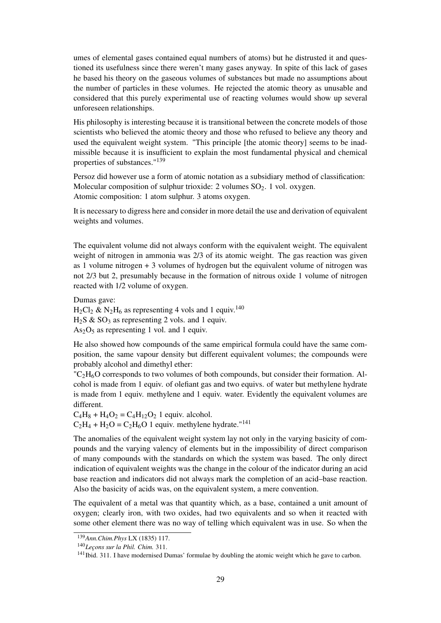umes of elemental gases contained equal numbers of atoms) but he distrusted it and questioned its usefulness since there weren't many gases anyway. In spite of this lack of gases he based his theory on the gaseous volumes of substances but made no assumptions about the number of particles in these volumes. He rejected the atomic theory as unusable and considered that this purely experimental use of reacting volumes would show up several unforeseen relationships.

His philosophy is interesting because it is transitional between the concrete models of those scientists who believed the atomic theory and those who refused to believe any theory and used the equivalent weight system. "This principle [the atomic theory] seems to be inadmissible because it is insufficient to explain the most fundamental physical and chemical properties of substances."<sup>139</sup>

Persoz did however use a form of atomic notation as a subsidiary method of classification: Molecular composition of sulphur trioxide: 2 volumes  $SO<sub>2</sub>$ . 1 vol. oxygen. Atomic composition: 1 atom sulphur. 3 atoms oxygen.

It is necessary to digress here and consider in more detail the use and derivation of equivalent weights and volumes.

The equivalent volume did not always conform with the equivalent weight. The equivalent weight of nitrogen in ammonia was 2/3 of its atomic weight. The gas reaction was given as 1 volume nitrogen + 3 volumes of hydrogen but the equivalent volume of nitrogen was not 2/3 but 2, presumably because in the formation of nitrous oxide 1 volume of nitrogen reacted with 1/2 volume of oxygen.

Dumas gave:

 $H_2Cl_2 \& N_2H_6$  as representing 4 vols and 1 equiv.<sup>140</sup>

 $H_2S \& SO_3$  as representing 2 vols. and 1 equiv.

 $As<sub>2</sub>O<sub>5</sub>$  as representing 1 vol. and 1 equiv.

He also showed how compounds of the same empirical formula could have the same composition, the same vapour density but different equivalent volumes; the compounds were probably alcohol and dimethyl ether:

 $\text{C}_2\text{H}_6\text{O}$  corresponds to two volumes of both compounds, but consider their formation. Alcohol is made from 1 equiv. of olefiant gas and two equivs. of water but methylene hydrate is made from 1 equiv. methylene and 1 equiv. water. Evidently the equivalent volumes are different.

 $C_4H_8 + H_4O_2 = C_4H_{12}O_2$  1 equiv. alcohol.

 $C_2H_4 + H_2O = C_2H_6O$  1 equiv. methylene hydrate."<sup>141</sup>

The anomalies of the equivalent weight system lay not only in the varying basicity of compounds and the varying valency of elements but in the impossibility of direct comparison of many compounds with the standards on which the system was based. The only direct indication of equivalent weights was the change in the colour of the indicator during an acid base reaction and indicators did not always mark the completion of an acid–base reaction. Also the basicity of acids was, on the equivalent system, a mere convention.

The equivalent of a metal was that quantity which, as a base, contained a unit amount of oxygen; clearly iron, with two oxides, had two equivalents and so when it reacted with some other element there was no way of telling which equivalent was in use. So when the

<sup>139</sup>*Ann.Chim.Phys* LX (1835) 117.

<sup>140</sup>*Leçons sur la Phil. Chim.* 311.

<sup>&</sup>lt;sup>141</sup>Ibid. 311. I have modernised Dumas' formulae by doubling the atomic weight which he gave to carbon.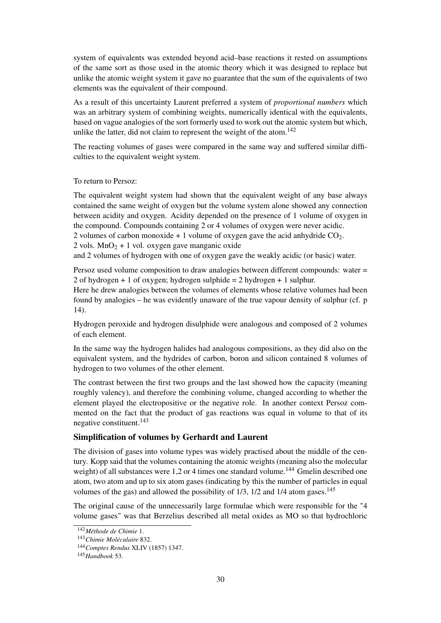system of equivalents was extended beyond acid–base reactions it rested on assumptions of the same sort as those used in the atomic theory which it was designed to replace but unlike the atomic weight system it gave no guarantee that the sum of the equivalents of two elements was the equivalent of their compound.

As a result of this uncertainty Laurent preferred a system of *proportional numbers* which was an arbitrary system of combining weights, numerically identical with the equivalents, based on vague analogies of the sort formerly used to work out the atomic system but which, unlike the latter, did not claim to represent the weight of the atom.<sup>142</sup>

The reacting volumes of gases were compared in the same way and suffered similar difficulties to the equivalent weight system.

#### To return to Persoz:

The equivalent weight system had shown that the equivalent weight of any base always contained the same weight of oxygen but the volume system alone showed any connection between acidity and oxygen. Acidity depended on the presence of 1 volume of oxygen in the compound. Compounds containing 2 or 4 volumes of oxygen were never acidic. 2 volumes of carbon monoxide  $+1$  volume of oxygen gave the acid anhydride  $CO<sub>2</sub>$ .  $2 \text{ vols. } \text{MnO}_2 + 1 \text{ vol. } \text{oxygen gave manganic oxide}$ 

and 2 volumes of hydrogen with one of oxygen gave the weakly acidic (or basic) water.

Persoz used volume composition to draw analogies between different compounds: water = 2 of hydrogen + 1 of oxygen; hydrogen sulphide  $= 2$  hydrogen + 1 sulphur.

Here he drew analogies between the volumes of elements whose relative volumes had been found by analogies – he was evidently unaware of the true vapour density of sulphur (cf. p 14).

Hydrogen peroxide and hydrogen disulphide were analogous and composed of 2 volumes of each element.

In the same way the hydrogen halides had analogous compositions, as they did also on the equivalent system, and the hydrides of carbon, boron and silicon contained 8 volumes of hydrogen to two volumes of the other element.

The contrast between the first two groups and the last showed how the capacity (meaning roughly valency), and therefore the combining volume, changed according to whether the element played the electropositive or the negative role. In another context Persoz commented on the fact that the product of gas reactions was equal in volume to that of its negative constituent.<sup>143</sup>

#### Simplification of volumes by Gerhardt and Laurent

The division of gases into volume types was widely practised about the middle of the century. Kopp said that the volumes containing the atomic weights (meaning also the molecular weight) of all substances were 1,2 or 4 times one standard volume.<sup>144</sup> Gmelin described one atom, two atom and up to six atom gases (indicating by this the number of particles in equal volumes of the gas) and allowed the possibility of  $1/3$ ,  $1/2$  and  $1/4$  atom gases.<sup>145</sup>

The original cause of the unnecessarily large formulae which were responsible for the "4 volume gases" was that Berzelius described all metal oxides as MO so that hydrochloric

<sup>142</sup>*Méthode de Chimie* 1.

<sup>143</sup>*Chimie Moléculaire* 832.

<sup>144</sup>*Comptes Rendus* XLIV (1857) 1347.

<sup>145</sup>*Handbook* 53.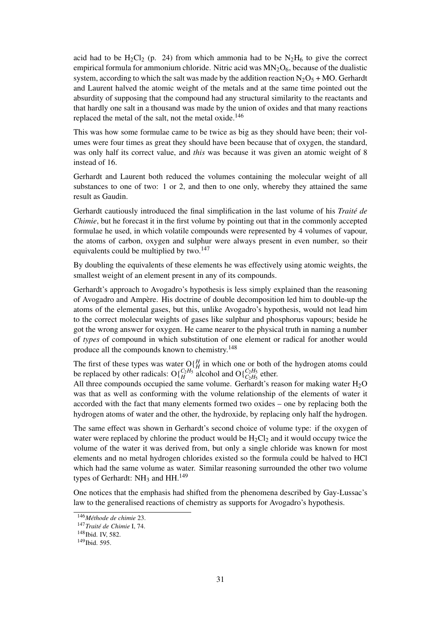acid had to be  $H_2Cl_2$  (p. 24) from which ammonia had to be  $N_2H_6$  to give the correct empirical formula for ammonium chloride. Nitric acid was  $MN_2O_6$ , because of the dualistic system, according to which the salt was made by the addition reaction  $N_2O_5 + MO$ . Gerhardt and Laurent halved the atomic weight of the metals and at the same time pointed out the absurdity of supposing that the compound had any structural similarity to the reactants and that hardly one salt in a thousand was made by the union of oxides and that many reactions replaced the metal of the salt, not the metal oxide.<sup>146</sup>

This was how some formulae came to be twice as big as they should have been; their volumes were four times as great they should have been because that of oxygen, the standard, was only half its correct value, and *this* was because it was given an atomic weight of 8 instead of 16.

Gerhardt and Laurent both reduced the volumes containing the molecular weight of all substances to one of two: 1 or 2, and then to one only, whereby they attained the same result as Gaudin.

Gerhardt cautiously introduced the final simplification in the last volume of his *Traité de Chimie*, but he forecast it in the first volume by pointing out that in the commonly accepted formulae he used, in which volatile compounds were represented by 4 volumes of vapour, the atoms of carbon, oxygen and sulphur were always present in even number, so their equivalents could be multiplied by two.<sup>147</sup>

By doubling the equivalents of these elements he was effectively using atomic weights, the smallest weight of an element present in any of its compounds.

Gerhardt's approach to Avogadro's hypothesis is less simply explained than the reasoning of Avogadro and Ampère. His doctrine of double decomposition led him to double-up the atoms of the elemental gases, but this, unlike Avogadro's hypothesis, would not lead him to the correct molecular weights of gases like sulphur and phosphorus vapours; beside he got the wrong answer for oxygen. He came nearer to the physical truth in naming a number of *types* of compound in which substitution of one element or radical for another would produce all the compounds known to chemistry.<sup>148</sup>

The first of these types was water  $O\left(H\atop H\right)$  in which one or both of the hydrogen atoms could be replaced by other radicals:  $O\left\{ \frac{C_2H_5}{H} \right\}$  alcohol and  $O\left\{ \frac{C_2H_5}{C_2H_5} \right\}$  ether.

All three compounds occupied the same volume. Gerhardt's reason for making water  $H_2O$ was that as well as conforming with the volume relationship of the elements of water it accorded with the fact that many elements formed two oxides – one by replacing both the hydrogen atoms of water and the other, the hydroxide, by replacing only half the hydrogen.

The same effect was shown in Gerhardt's second choice of volume type: if the oxygen of water were replaced by chlorine the product would be  $H_2Cl_2$  and it would occupy twice the volume of the water it was derived from, but only a single chloride was known for most elements and no metal hydrogen chlorides existed so the formula could be halved to HCl which had the same volume as water. Similar reasoning surrounded the other two volume types of Gerhardt:  $NH_3$  and  $HH$ .<sup>149</sup>

One notices that the emphasis had shifted from the phenomena described by Gay-Lussac's law to the generalised reactions of chemistry as supports for Avogadro's hypothesis.

<sup>146</sup>*Méthode de chimie* 23.

<sup>147</sup>*Traité de Chimie* I, 74.

<sup>148</sup>Ibid. IV, 582.

<sup>&</sup>lt;sup>149</sup>Ibid. 595.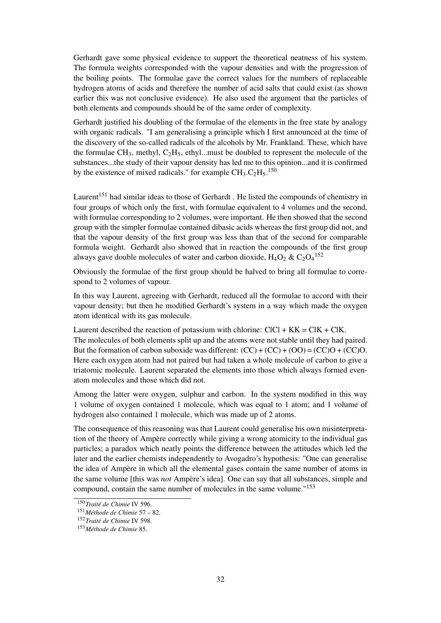Gerhardt gave some physical evidence to support the theoretical neatness of his system. The formula weights corresponded with the vapour densities and with the progression of the boiling points. The formulae gave the correct values for the numbers of replaceable hydrogen atoms of acids and therefore the number of acid salts that could exist (as shown earlier this was not conclusive evidence). He also used the argument that the particles of both elements and compounds should be of the same order of complexity.

Gerhardt justified his doubling of the formulae of the elements in the free state by analogy with organic radicals. "I am generalising a principle which I first announced at the time of the discovery of the so-called radicals of the alcohols by Mr. Frankland. These, which have the formulae  $CH_3$ , methyl,  $C_2H_5$ , ethyl...must be doubled to represent the molecule of the substances...the study of their vapour density has led me to this opinion...and it is confirmed by the existence of mixed radicals." for example  $CH_3.C_2H_5$ .<sup>150</sup>

Laurent<sup>151</sup> had similar ideas to those of Gerhardt. He listed the compounds of chemistry in four groups of which only the first, with formulae equivalent to 4 volumes and the second, with formulae corresponding to 2 volumes, were important. He then showed that the second group with the simpler formulae contained dibasic acids whereas the first group did not, and that the vapour density of the first group was less than that of the second for comparable formula weight. Gerhardt also showed that in reaction the compounds of the first group always gave double molecules of water and carbon dioxide,  $H_4O_2 \& C_2O_4^{152}$ 

Obviously the formulae of the first group should be halved to bring all formulae to correspond to 2 volumes of vapour.

In this way Laurent, agreeing with Gerhardt, reduced all the formulae to accord with their vapour density; but then he modified Gerhardt's system in a way which made the oxygen atom identical with its gas molecule.

Laurent described the reaction of potassium with chlorine:  $ClCl + KK = ClK + ClK$ . The molecules of both elements split up and the atoms were not stable until they had paired. But the formation of carbon suboxide was different:  $(CC) + (CC) + (OO) = (CC)O + (CC)O$ . Here each oxygen atom had not paired but had taken a whole molecule of carbon to give a triatomic molecule. Laurent separated the elements into those which always formed evenatom molecules and those which did not.

Among the latter were oxygen, sulphur and carbon. In the system modified in this way 1 volume of oxygen contained 1 molecule, which was equal to 1 atom; and 1 volume of hydrogen also contained 1 molecule, which was made up of 2 atoms.

The consequence of this reasoning was that Laurent could generalise his own misinterpretation of the theory of Ampère correctly while giving a wrong atomicity to the individual gas particles; a paradox which neatly points the difference between the attitudes which led the later and the earlier chemists independently to Avogadro's hypothesis: "One can generalise the idea of Ampère in which all the elemental gases contain the same number of atoms in the same volume [this was *not* Ampère's idea]. One can say that all substances, simple and compound, contain the same number of molecules in the same volume."<sup>153</sup>

<sup>150</sup>*Traité de Chimie* IV 596.

<sup>151</sup>*Méthode de Chimie* 57 – 82.

<sup>152</sup>*Traité de Chimie* IV 598.

<sup>153</sup>*Méthode de Chimie* 85.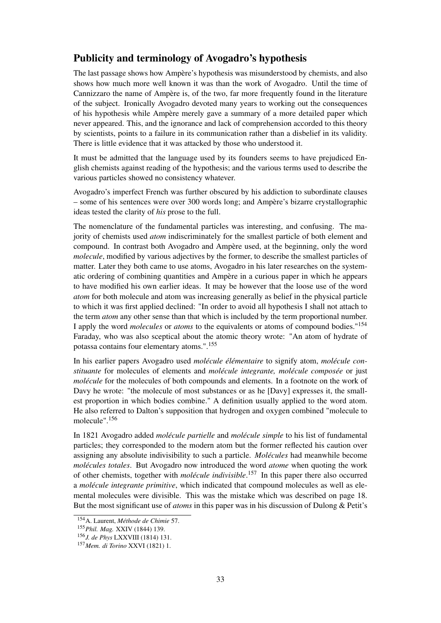## Publicity and terminology of Avogadro's hypothesis

The last passage shows how Ampère's hypothesis was misunderstood by chemists, and also shows how much more well known it was than the work of Avogadro. Until the time of Cannizzaro the name of Ampère is, of the two, far more frequently found in the literature of the subject. Ironically Avogadro devoted many years to working out the consequences of his hypothesis while Ampère merely gave a summary of a more detailed paper which never appeared. This, and the ignorance and lack of comprehension accorded to this theory by scientists, points to a failure in its communication rather than a disbelief in its validity. There is little evidence that it was attacked by those who understood it.

It must be admitted that the language used by its founders seems to have prejudiced English chemists against reading of the hypothesis; and the various terms used to describe the various particles showed no consistency whatever.

Avogadro's imperfect French was further obscured by his addiction to subordinate clauses – some of his sentences were over 300 words long; and Ampère's bizarre crystallographic ideas tested the clarity of *his* prose to the full.

The nomenclature of the fundamental particles was interesting, and confusing. The majority of chemists used *atom* indiscriminately for the smallest particle of both element and compound. In contrast both Avogadro and Ampère used, at the beginning, only the word *molecule*, modified by various adjectives by the former, to describe the smallest particles of matter. Later they both came to use atoms, Avogadro in his later researches on the systematic ordering of combining quantities and Ampère in a curious paper in which he appears to have modified his own earlier ideas. It may be however that the loose use of the word *atom* for both molecule and atom was increasing generally as belief in the physical particle to which it was first applied declined: "In order to avoid all hypothesis I shall not attach to the term *atom* any other sense than that which is included by the term proportional number. I apply the word *molecules* or *atoms* to the equivalents or atoms of compound bodies."<sup>154</sup> Faraday, who was also sceptical about the atomic theory wrote: "An atom of hydrate of potassa contains four elementary atoms.".<sup>155</sup>

In his earlier papers Avogadro used *molécule élémentaire* to signify atom, *molécule constituante* for molecules of elements and *molécule integrante, molécule composée* or just *molécule* for the molecules of both compounds and elements. In a footnote on the work of Davy he wrote: "the molecule of most substances or as he [Davy] expresses it, the smallest proportion in which bodies combine." A definition usually applied to the word atom. He also referred to Dalton's supposition that hydrogen and oxygen combined "molecule to molecule".<sup>156</sup>

In 1821 Avogadro added *molécule partielle* and *molécule simple* to his list of fundamental particles; they corresponded to the modern atom but the former reflected his caution over assigning any absolute indivisibility to such a particle. *Molécules* had meanwhile become *molécules totales*. But Avogadro now introduced the word *atome* when quoting the work of other chemists, together with *molécule indivisible*. <sup>157</sup> In this paper there also occurred a *molécule integrante primitive*, which indicated that compound molecules as well as elemental molecules were divisible. This was the mistake which was described on page 18. But the most significant use of *atoms* in this paper was in his discussion of Dulong & Petit's

<sup>154</sup>A. Laurent, *Méthode de Chimie* 57.

<sup>155</sup>*Phil. Mag.* XXIV (1844) 139.

<sup>156</sup>*J. de Phys* LXXVIII (1814) 131.

<sup>157</sup>*Mem. di Torino* XXVI (1821) 1.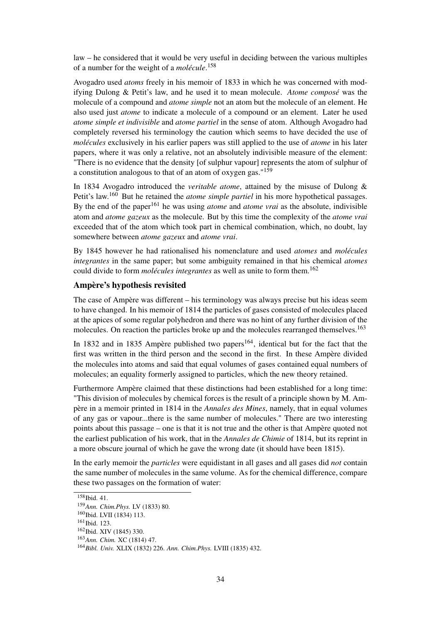law – he considered that it would be very useful in deciding between the various multiples of a number for the weight of a *molécule*. 158

Avogadro used *atoms* freely in his memoir of 1833 in which he was concerned with modifying Dulong & Petit's law, and he used it to mean molecule. *Atome composé* was the molecule of a compound and *atome simple* not an atom but the molecule of an element. He also used just *atome* to indicate a molecule of a compound or an element. Later he used *atome simple et indivisible* and *atome partiel* in the sense of atom. Although Avogadro had completely reversed his terminology the caution which seems to have decided the use of *molécules* exclusively in his earlier papers was still applied to the use of *atome* in his later papers, where it was only a relative, not an absolutely indivisible measure of the element: "There is no evidence that the density [of sulphur vapour] represents the atom of sulphur of a constitution analogous to that of an atom of oxygen gas."<sup>159</sup>

In 1834 Avogadro introduced the *veritable atome*, attained by the misuse of Dulong & Petit's law.<sup>160</sup> But he retained the *atome simple partiel* in his more hypothetical passages. By the end of the paper<sup>161</sup> he was using *atome* and *atome vrai* as the absolute, indivisible atom and *atome gazeux* as the molecule. But by this time the complexity of the *atome vrai* exceeded that of the atom which took part in chemical combination, which, no doubt, lay somewhere between *atome gazeux* and *atome vrai*.

By 1845 however he had rationalised his nomenclature and used *atomes* and *molécules integrantes* in the same paper; but some ambiguity remained in that his chemical *atomes* could divide to form *molécules integrantes* as well as unite to form them.<sup>162</sup>

#### Ampère's hypothesis revisited

The case of Ampère was different – his terminology was always precise but his ideas seem to have changed. In his memoir of 1814 the particles of gases consisted of molecules placed at the apices of some regular polyhedron and there was no hint of any further division of the molecules. On reaction the particles broke up and the molecules rearranged themselves.<sup>163</sup>

In 1832 and in 1835 Ampère published two papers<sup>164</sup>, identical but for the fact that the first was written in the third person and the second in the first. In these Ampère divided the molecules into atoms and said that equal volumes of gases contained equal numbers of molecules; an equality formerly assigned to particles, which the new theory retained.

Furthermore Ampère claimed that these distinctions had been established for a long time: "This division of molecules by chemical forces is the result of a principle shown by M. Ampère in a memoir printed in 1814 in the *Annales des Mines*, namely, that in equal volumes of any gas or vapour...there is the same number of molecules." There are two interesting points about this passage – one is that it is not true and the other is that Ampère quoted not the earliest publication of his work, that in the *Annales de Chimie* of 1814, but its reprint in a more obscure journal of which he gave the wrong date (it should have been 1815).

In the early memoir the *particles* were equidistant in all gases and all gases did *not* contain the same number of molecules in the same volume. As for the chemical difference, compare these two passages on the formation of water:

<sup>&</sup>lt;sup>158</sup>Ibid. 41.

<sup>159</sup>*Ann. Chim.Phys.* LV (1833) 80.

<sup>&</sup>lt;sup>160</sup>Ibid. LVII (1834) 113.

<sup>&</sup>lt;sup>161</sup>Ibid. 123.

<sup>162</sup>Ibid. XIV (1845) 330.

<sup>163</sup>*Ann. Chim.* XC (1814) 47.

<sup>164</sup>*Bibl. Univ.* XLIX (1832) 226. *Ann. Chim.Phys.* LVIII (1835) 432.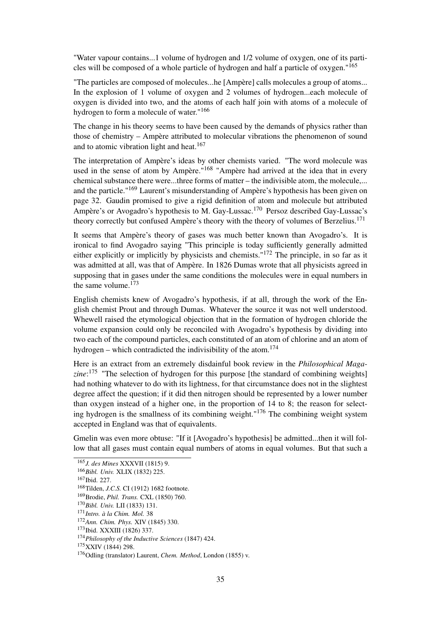"Water vapour contains...1 volume of hydrogen and 1/2 volume of oxygen, one of its particles will be composed of a whole particle of hydrogen and half a particle of oxygen."<sup>165</sup>

"The particles are composed of molecules...he [Ampère] calls molecules a group of atoms... In the explosion of 1 volume of oxygen and 2 volumes of hydrogen...each molecule of oxygen is divided into two, and the atoms of each half join with atoms of a molecule of hydrogen to form a molecule of water."<sup>166</sup>

The change in his theory seems to have been caused by the demands of physics rather than those of chemistry – Ampère attributed to molecular vibrations the phenomenon of sound and to atomic vibration light and heat.<sup>167</sup>

The interpretation of Ampère's ideas by other chemists varied. "The word molecule was used in the sense of atom by Ampère."<sup>168</sup> "Ampère had arrived at the idea that in every chemical substance there were...three forms of matter – the indivisible atom, the molecule,... and the particle."<sup>169</sup> Laurent's misunderstanding of Ampère's hypothesis has been given on page 32. Gaudin promised to give a rigid definition of atom and molecule but attributed Ampère's or Avogadro's hypothesis to M. Gay-Lussac.<sup>170</sup> Persoz described Gay-Lussac's theory correctly but confused Ampère's theory with the theory of volumes of Berzelius.<sup>171</sup>

It seems that Ampère's theory of gases was much better known than Avogadro's. It is ironical to find Avogadro saying "This principle is today sufficiently generally admitted either explicitly or implicitly by physicists and chemists."<sup>172</sup> The principle, in so far as it was admitted at all, was that of Ampère. In 1826 Dumas wrote that all physicists agreed in supposing that in gases under the same conditions the molecules were in equal numbers in the same volume. $173$ 

English chemists knew of Avogadro's hypothesis, if at all, through the work of the English chemist Prout and through Dumas. Whatever the source it was not well understood. Whewell raised the etymological objection that in the formation of hydrogen chloride the volume expansion could only be reconciled with Avogadro's hypothesis by dividing into two each of the compound particles, each constituted of an atom of chlorine and an atom of hydrogen – which contradicted the indivisibility of the atom.<sup>174</sup>

Here is an extract from an extremely disdainful book review in the *Philosophical Magazine*: <sup>175</sup> "The selection of hydrogen for this purpose [the standard of combining weights] had nothing whatever to do with its lightness, for that circumstance does not in the slightest degree affect the question; if it did then nitrogen should be represented by a lower number than oxygen instead of a higher one, in the proportion of 14 to 8; the reason for selecting hydrogen is the smallness of its combining weight."<sup>176</sup> The combining weight system accepted in England was that of equivalents.

Gmelin was even more obtuse: "If it [Avogadro's hypothesis] be admitted...then it will follow that all gases must contain equal numbers of atoms in equal volumes. But that such a

<sup>175</sup>XXIV (1844) 298.

<sup>165</sup>*J. des Mines* XXXVII (1815) 9.

<sup>166</sup>*Bibl. Univ.* XLIX (1832) 225.

<sup>167</sup>Ibid. 227.

<sup>168</sup>Tilden, *J.C.S.* CI (1912) 1682 footnote.

<sup>169</sup>Brodie, *Phil. Trans.* CXL (1850) 760.

<sup>170</sup>*Bibl. Univ.* LII (1833) 131.

<sup>171</sup>*Intro. à la Chim. Mol.* 38

<sup>172</sup>*Ann. Chim. Phys.* XIV (1845) 330.

<sup>173</sup>Ibid. XXXIII (1826) 337.

<sup>174</sup>*Philosophy of the Inductive Sciences* (1847) 424.

<sup>176</sup>Odling (translator) Laurent, *Chem. Method*, London (1855) v.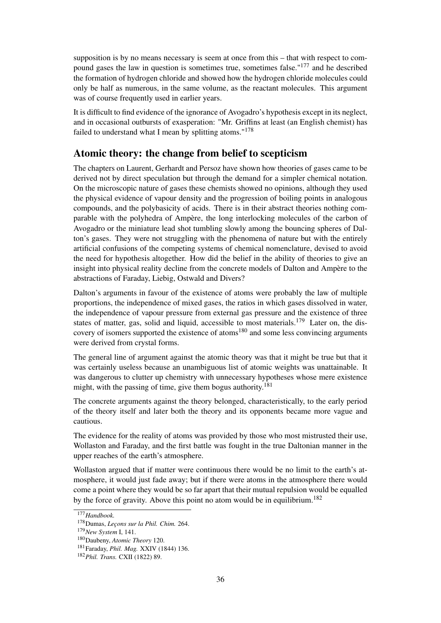supposition is by no means necessary is seem at once from this – that with respect to compound gases the law in question is sometimes true, sometimes false."<sup>177</sup> and he described the formation of hydrogen chloride and showed how the hydrogen chloride molecules could only be half as numerous, in the same volume, as the reactant molecules. This argument was of course frequently used in earlier years.

It is difficult to find evidence of the ignorance of Avogadro's hypothesis except in its neglect, and in occasional outbursts of exasperation: "Mr. Griffins at least (an English chemist) has failed to understand what I mean by splitting atoms."<sup>178</sup>

### Atomic theory: the change from belief to scepticism

The chapters on Laurent, Gerhardt and Persoz have shown how theories of gases came to be derived not by direct speculation but through the demand for a simpler chemical notation. On the microscopic nature of gases these chemists showed no opinions, although they used the physical evidence of vapour density and the progression of boiling points in analogous compounds, and the polybasicity of acids. There is in their abstract theories nothing comparable with the polyhedra of Ampère, the long interlocking molecules of the carbon of Avogadro or the miniature lead shot tumbling slowly among the bouncing spheres of Dalton's gases. They were not struggling with the phenomena of nature but with the entirely artificial confusions of the competing systems of chemical nomenclature, devised to avoid the need for hypothesis altogether. How did the belief in the ability of theories to give an insight into physical reality decline from the concrete models of Dalton and Ampère to the abstractions of Faraday, Liebig, Ostwald and Divers?

Dalton's arguments in favour of the existence of atoms were probably the law of multiple proportions, the independence of mixed gases, the ratios in which gases dissolved in water, the independence of vapour pressure from external gas pressure and the existence of three states of matter, gas, solid and liquid, accessible to most materials.<sup>179</sup> Later on, the discovery of isomers supported the existence of atoms<sup>180</sup> and some less convincing arguments were derived from crystal forms.

The general line of argument against the atomic theory was that it might be true but that it was certainly useless because an unambiguous list of atomic weights was unattainable. It was dangerous to clutter up chemistry with unnecessary hypotheses whose mere existence might, with the passing of time, give them bogus authority.<sup>181</sup>

The concrete arguments against the theory belonged, characteristically, to the early period of the theory itself and later both the theory and its opponents became more vague and cautious.

The evidence for the reality of atoms was provided by those who most mistrusted their use, Wollaston and Faraday, and the first battle was fought in the true Daltonian manner in the upper reaches of the earth's atmosphere.

Wollaston argued that if matter were continuous there would be no limit to the earth's atmosphere, it would just fade away; but if there were atoms in the atmosphere there would come a point where they would be so far apart that their mutual repulsion would be equalled by the force of gravity. Above this point no atom would be in equilibrium.<sup>182</sup>

<sup>177</sup>*Handbook.*

<sup>178</sup>Dumas, *Leçons sur la Phil. Chim.* 264.

<sup>179</sup>*New System* I, 141.

<sup>180</sup>Daubeny, *Atomic Theory* 120.

<sup>181</sup>Faraday, *Phil. Mag.* XXIV (1844) 136.

<sup>182</sup>*Phil. Trans.* CXII (1822) 89.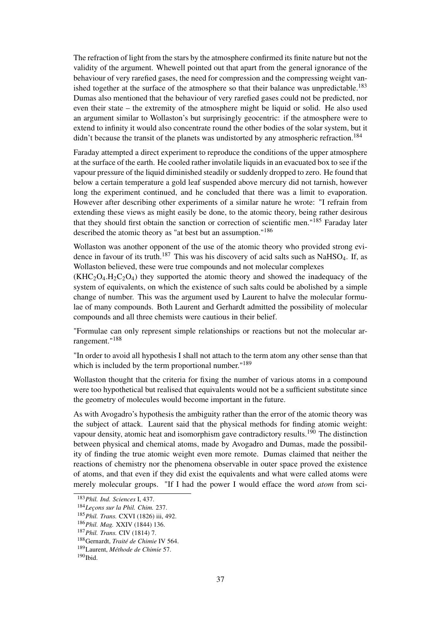The refraction of light from the stars by the atmosphere confirmed its finite nature but not the validity of the argument. Whewell pointed out that apart from the general ignorance of the behaviour of very rarefied gases, the need for compression and the compressing weight vanished together at the surface of the atmosphere so that their balance was unpredictable.<sup>183</sup> Dumas also mentioned that the behaviour of very rarefied gases could not be predicted, nor even their state – the extremity of the atmosphere might be liquid or solid. He also used an argument similar to Wollaston's but surprisingly geocentric: if the atmosphere were to extend to infinity it would also concentrate round the other bodies of the solar system, but it didn't because the transit of the planets was undistorted by any atmospheric refraction.<sup>184</sup>

Faraday attempted a direct experiment to reproduce the conditions of the upper atmosphere at the surface of the earth. He cooled rather involatile liquids in an evacuated box to see if the vapour pressure of the liquid diminished steadily or suddenly dropped to zero. He found that below a certain temperature a gold leaf suspended above mercury did not tarnish, however long the experiment continued, and he concluded that there was a limit to evaporation. However after describing other experiments of a similar nature he wrote: "I refrain from extending these views as might easily be done, to the atomic theory, being rather desirous that they should first obtain the sanction or correction of scientific men."<sup>185</sup> Faraday later described the atomic theory as "at best but an assumption."<sup>186</sup>

Wollaston was another opponent of the use of the atomic theory who provided strong evidence in favour of its truth.<sup>187</sup> This was his discovery of acid salts such as NaHSO<sub>4</sub>. If, as Wollaston believed, these were true compounds and not molecular complexes

 $(KHC<sub>2</sub>O<sub>4</sub>, H<sub>2</sub>C<sub>2</sub>O<sub>4</sub>)$  they supported the atomic theory and showed the inadequacy of the system of equivalents, on which the existence of such salts could be abolished by a simple change of number. This was the argument used by Laurent to halve the molecular formulae of many compounds. Both Laurent and Gerhardt admitted the possibility of molecular compounds and all three chemists were cautious in their belief.

"Formulae can only represent simple relationships or reactions but not the molecular arrangement."<sup>188</sup>

"In order to avoid all hypothesis I shall not attach to the term atom any other sense than that which is included by the term proportional number."<sup>189</sup>

Wollaston thought that the criteria for fixing the number of various atoms in a compound were too hypothetical but realised that equivalents would not be a sufficient substitute since the geometry of molecules would become important in the future.

As with Avogadro's hypothesis the ambiguity rather than the error of the atomic theory was the subject of attack. Laurent said that the physical methods for finding atomic weight: vapour density, atomic heat and isomorphism gave contradictory results.<sup>190</sup> The distinction between physical and chemical atoms, made by Avogadro and Dumas, made the possibility of finding the true atomic weight even more remote. Dumas claimed that neither the reactions of chemistry nor the phenomena observable in outer space proved the existence of atoms, and that even if they did exist the equivalents and what were called atoms were merely molecular groups. "If I had the power I would efface the word *atom* from sci-

<sup>183</sup>*Phil. Ind. Sciences* I, 437.

<sup>184</sup>*Leçons sur la Phil. Chim.* 237.

<sup>185</sup>*Phil. Trans.* CXVI (1826) iii, 492.

<sup>186</sup>*Phil. Mag.* XXIV (1844) 136.

<sup>187</sup>*Phil. Trans.* CIV (1814) 7.

<sup>188</sup>Gernardt, *Traité de Chimie* IV 564.

<sup>189</sup>Laurent, *Méthode de Chimie* 57.

 $190$  Ibid.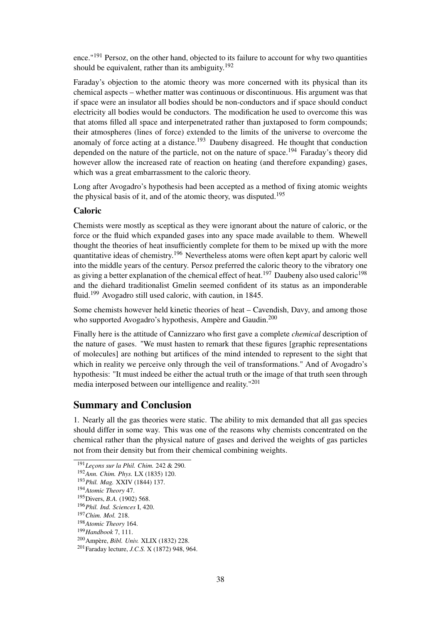ence."<sup>191</sup> Persoz, on the other hand, objected to its failure to account for why two quantities should be equivalent, rather than its ambiguity.<sup>192</sup>

Faraday's objection to the atomic theory was more concerned with its physical than its chemical aspects – whether matter was continuous or discontinuous. His argument was that if space were an insulator all bodies should be non-conductors and if space should conduct electricity all bodies would be conductors. The modification he used to overcome this was that atoms filled all space and interpenetrated rather than juxtaposed to form compounds; their atmospheres (lines of force) extended to the limits of the universe to overcome the anomaly of force acting at a distance.<sup>193</sup> Daubeny disagreed. He thought that conduction depended on the nature of the particle, not on the nature of space.<sup>194</sup> Faraday's theory did however allow the increased rate of reaction on heating (and therefore expanding) gases, which was a great embarrassment to the caloric theory.

Long after Avogadro's hypothesis had been accepted as a method of fixing atomic weights the physical basis of it, and of the atomic theory, was disputed.<sup>195</sup>

#### Caloric

Chemists were mostly as sceptical as they were ignorant about the nature of caloric, or the force or the fluid which expanded gases into any space made available to them. Whewell thought the theories of heat insufficiently complete for them to be mixed up with the more quantitative ideas of chemistry.<sup>196</sup> Nevertheless atoms were often kept apart by caloric well into the middle years of the century. Persoz preferred the caloric theory to the vibratory one as giving a better explanation of the chemical effect of heat.<sup>197</sup> Daubeny also used caloric<sup>198</sup> and the diehard traditionalist Gmelin seemed confident of its status as an imponderable fluid.<sup>199</sup> Avogadro still used caloric, with caution, in 1845.

Some chemists however held kinetic theories of heat – Cavendish, Davy, and among those who supported Avogadro's hypothesis, Ampère and Gaudin.<sup>200</sup>

Finally here is the attitude of Cannizzaro who first gave a complete *chemical* description of the nature of gases. "We must hasten to remark that these figures [graphic representations of molecules] are nothing but artifices of the mind intended to represent to the sight that which in reality we perceive only through the veil of transformations." And of Avogadro's hypothesis: "It must indeed be either the actual truth or the image of that truth seen through media interposed between our intelligence and reality."<sup>201</sup>

### Summary and Conclusion

1. Nearly all the gas theories were static. The ability to mix demanded that all gas species should differ in some way. This was one of the reasons why chemists concentrated on the chemical rather than the physical nature of gases and derived the weights of gas particles not from their density but from their chemical combining weights.

<sup>191</sup>*Leçons sur la Phil. Chim.* 242 & 290.

<sup>192</sup>*Ann. Chim. Phys.* LX (1835) 120.

<sup>193</sup>*Phil. Mag.* XXIV (1844) 137.

<sup>194</sup>*Atomic Theory* 47.

<sup>195</sup>Divers, *B.A.* (1902) 568.

<sup>196</sup>*Phil. Ind. Sciences* I, 420.

<sup>197</sup>*Chim. Mol.* 218.

<sup>198</sup>*Atomic Theory* 164.

<sup>199</sup>*Handbook* 7, 111.

<sup>200</sup>Ampère, *Bibl. Univ.* XLIX (1832) 228.

<sup>201</sup>Faraday lecture, *J.C.S.* X (1872) 948, 964.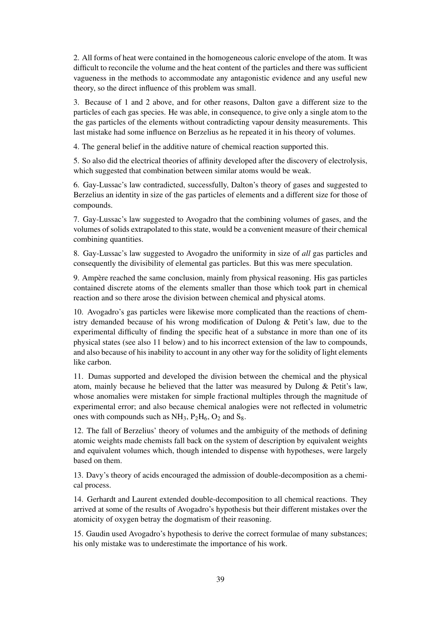2. All forms of heat were contained in the homogeneous caloric envelope of the atom. It was difficult to reconcile the volume and the heat content of the particles and there was sufficient vagueness in the methods to accommodate any antagonistic evidence and any useful new theory, so the direct influence of this problem was small.

3. Because of 1 and 2 above, and for other reasons, Dalton gave a different size to the particles of each gas species. He was able, in consequence, to give only a single atom to the the gas particles of the elements without contradicting vapour density measurements. This last mistake had some influence on Berzelius as he repeated it in his theory of volumes.

4. The general belief in the additive nature of chemical reaction supported this.

5. So also did the electrical theories of affinity developed after the discovery of electrolysis, which suggested that combination between similar atoms would be weak.

6. Gay-Lussac's law contradicted, successfully, Dalton's theory of gases and suggested to Berzelius an identity in size of the gas particles of elements and a different size for those of compounds.

7. Gay-Lussac's law suggested to Avogadro that the combining volumes of gases, and the volumes of solids extrapolated to this state, would be a convenient measure of their chemical combining quantities.

8. Gay-Lussac's law suggested to Avogadro the uniformity in size of *all* gas particles and consequently the divisibility of elemental gas particles. But this was mere speculation.

9. Ampère reached the same conclusion, mainly from physical reasoning. His gas particles contained discrete atoms of the elements smaller than those which took part in chemical reaction and so there arose the division between chemical and physical atoms.

10. Avogadro's gas particles were likewise more complicated than the reactions of chemistry demanded because of his wrong modification of Dulong & Petit's law, due to the experimental difficulty of finding the specific heat of a substance in more than one of its physical states (see also 11 below) and to his incorrect extension of the law to compounds, and also because of his inability to account in any other way for the solidity of light elements like carbon.

11. Dumas supported and developed the division between the chemical and the physical atom, mainly because he believed that the latter was measured by Dulong & Petit's law, whose anomalies were mistaken for simple fractional multiples through the magnitude of experimental error; and also because chemical analogies were not reflected in volumetric ones with compounds such as  $NH_3$ ,  $P_2H_6$ ,  $O_2$  and  $S_8$ .

12. The fall of Berzelius' theory of volumes and the ambiguity of the methods of defining atomic weights made chemists fall back on the system of description by equivalent weights and equivalent volumes which, though intended to dispense with hypotheses, were largely based on them.

13. Davy's theory of acids encouraged the admission of double-decomposition as a chemical process.

14. Gerhardt and Laurent extended double-decomposition to all chemical reactions. They arrived at some of the results of Avogadro's hypothesis but their different mistakes over the atomicity of oxygen betray the dogmatism of their reasoning.

15. Gaudin used Avogadro's hypothesis to derive the correct formulae of many substances; his only mistake was to underestimate the importance of his work.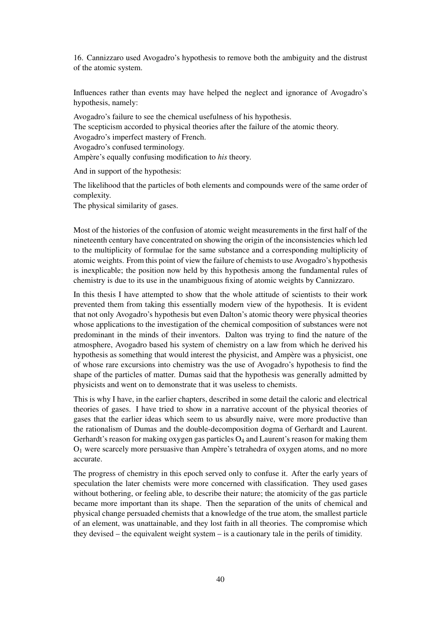16. Cannizzaro used Avogadro's hypothesis to remove both the ambiguity and the distrust of the atomic system.

Influences rather than events may have helped the neglect and ignorance of Avogadro's hypothesis, namely:

Avogadro's failure to see the chemical usefulness of his hypothesis. The scepticism accorded to physical theories after the failure of the atomic theory. Avogadro's imperfect mastery of French. Avogadro's confused terminology. Ampère's equally confusing modification to *his* theory.

And in support of the hypothesis:

The likelihood that the particles of both elements and compounds were of the same order of complexity.

The physical similarity of gases.

Most of the histories of the confusion of atomic weight measurements in the first half of the nineteenth century have concentrated on showing the origin of the inconsistencies which led to the multiplicity of formulae for the same substance and a corresponding multiplicity of atomic weights. From this point of view the failure of chemists to use Avogadro's hypothesis is inexplicable; the position now held by this hypothesis among the fundamental rules of chemistry is due to its use in the unambiguous fixing of atomic weights by Cannizzaro.

In this thesis I have attempted to show that the whole attitude of scientists to their work prevented them from taking this essentially modern view of the hypothesis. It is evident that not only Avogadro's hypothesis but even Dalton's atomic theory were physical theories whose applications to the investigation of the chemical composition of substances were not predominant in the minds of their inventors. Dalton was trying to find the nature of the atmosphere, Avogadro based his system of chemistry on a law from which he derived his hypothesis as something that would interest the physicist, and Ampère was a physicist, one of whose rare excursions into chemistry was the use of Avogadro's hypothesis to find the shape of the particles of matter. Dumas said that the hypothesis was generally admitted by physicists and went on to demonstrate that it was useless to chemists.

This is why I have, in the earlier chapters, described in some detail the caloric and electrical theories of gases. I have tried to show in a narrative account of the physical theories of gases that the earlier ideas which seem to us absurdly naive, were more productive than the rationalism of Dumas and the double-decomposition dogma of Gerhardt and Laurent. Gerhardt's reason for making oxygen gas particles  $O_4$  and Laurent's reason for making them  $O<sub>1</sub>$  were scarcely more persuasive than Ampère's tetrahedra of oxygen atoms, and no more accurate.

The progress of chemistry in this epoch served only to confuse it. After the early years of speculation the later chemists were more concerned with classification. They used gases without bothering, or feeling able, to describe their nature; the atomicity of the gas particle became more important than its shape. Then the separation of the units of chemical and physical change persuaded chemists that a knowledge of the true atom, the smallest particle of an element, was unattainable, and they lost faith in all theories. The compromise which they devised – the equivalent weight system – is a cautionary tale in the perils of timidity.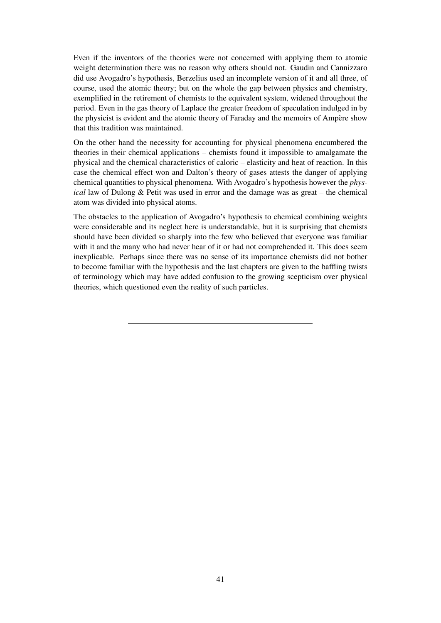Even if the inventors of the theories were not concerned with applying them to atomic weight determination there was no reason why others should not. Gaudin and Cannizzaro did use Avogadro's hypothesis, Berzelius used an incomplete version of it and all three, of course, used the atomic theory; but on the whole the gap between physics and chemistry, exemplified in the retirement of chemists to the equivalent system, widened throughout the period. Even in the gas theory of Laplace the greater freedom of speculation indulged in by the physicist is evident and the atomic theory of Faraday and the memoirs of Ampère show that this tradition was maintained.

On the other hand the necessity for accounting for physical phenomena encumbered the theories in their chemical applications – chemists found it impossible to amalgamate the physical and the chemical characteristics of caloric – elasticity and heat of reaction. In this case the chemical effect won and Dalton's theory of gases attests the danger of applying chemical quantities to physical phenomena. With Avogadro's hypothesis however the *physical* law of Dulong & Petit was used in error and the damage was as great – the chemical atom was divided into physical atoms.

The obstacles to the application of Avogadro's hypothesis to chemical combining weights were considerable and its neglect here is understandable, but it is surprising that chemists should have been divided so sharply into the few who believed that everyone was familiar with it and the many who had never hear of it or had not comprehended it. This does seem inexplicable. Perhaps since there was no sense of its importance chemists did not bother to become familiar with the hypothesis and the last chapters are given to the baffling twists of terminology which may have added confusion to the growing scepticism over physical theories, which questioned even the reality of such particles.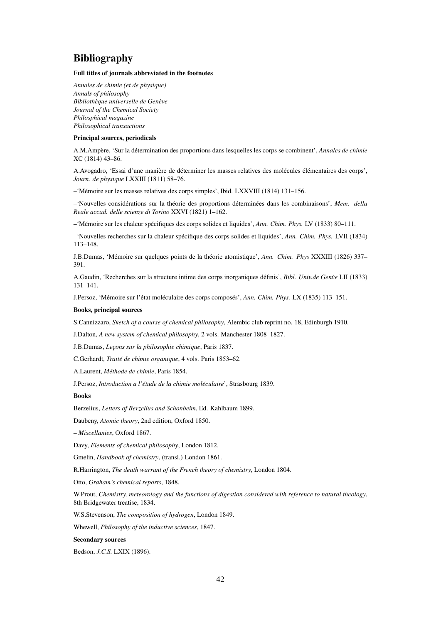## Bibliography

#### Full titles of journals abbreviated in the footnotes

*Annales de chimie (et de physique) Annals of philosophy Bibliothèque universelle de Genève Journal of the Chemical Society Philosphical magazine Philosophical transactions*

#### Principal sources, periodicals

A.M.Ampère, 'Sur la détermination des proportions dans lesquelles les corps se combinent', *Annales de chimie* XC (1814) 43–86.

A.Avogadro, 'Essai d'une manière de déterminer les masses relatives des molécules élémentaires des corps', *Journ. de physique* LXXIII (1811) 58–76.

–'Mémoire sur les masses relatives des corps simples', Ibid. LXXVIII (1814) 131–156.

–'Nouvelles considérations sur la théorie des proportions déterminées dans les combinaisons', *Mem. della Reale accad. delle scienze di Torino* XXVI (1821) 1–162.

–'Mémoire sur les chaleur spécifiques des corps solides et liquides', *Ann. Chim. Phys.* LV (1833) 80–111.

–'Nouvelles recherches sur la chaleur spécifique des corps solides et liquides', *Ann. Chim. Phys.* LVII (1834) 113–148.

J.B.Dumas, 'Mémoire sur quelques points de la théorie atomistique', *Ann. Chim. Phys* XXXIII (1826) 337– 391.

A.Gaudin, 'Recherches sur la structure intime des corps inorganiques définis', *Bibl. Univ.de Genve`* LII (1833) 131–141.

J.Persoz, 'Mémoire sur l'état moléculaire des corps composés', *Ann. Chim. Phys.* LX (1835) 113–151.

#### Books, principal sources

S.Cannizzaro, *Sketch of a course of chemical philosophy*, Alembic club reprint no. 18, Edinburgh 1910.

J.Dalton, *A new system of chemical philosophy*, 2 vols. Manchester 1808–1827.

J.B.Dumas, *Leçons sur la philosophie chimique*, Paris 1837.

C.Gerhardt, *Traité de chimie organique*, 4 vols. Paris 1853–62.

A.Laurent, *Méthode de chimie*, Paris 1854.

J.Persoz, *Introduction a l'étude de la chimie moléculaire*', Strasbourg 1839.

#### Books

Berzelius, *Letters of Berzelius and Schonbeim*, Ed. Kahlbaum 1899.

Daubeny, *Atomic theory*, 2nd edition, Oxford 1850.

– *Miscellanies*, Oxford 1867.

Davy, *Elements of chemical philosophy*, London 1812.

Gmelin, *Handbook of chemistry*, (transl.) London 1861.

R.Harrington, *The death warrant of the French theory of chemistry*, London 1804.

Otto, *Graham's chemical reports*, 1848.

W.Prout, *Chemistry, meteorology and the functions of digestion considered with reference to natural theology*, 8th Bridgewater treatise, 1834.

W.S.Stevenson, *The composition of hydrogen*, London 1849.

Whewell, *Philosophy of the inductive sciences*, 1847.

#### Secondary sources

Bedson, *J.C.S.* LXIX (1896).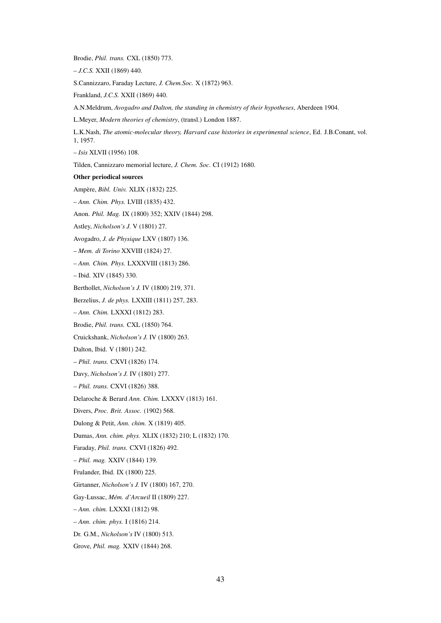Brodie, *Phil. trans.* CXL (1850) 773.

– *J.C.S.* XXII (1869) 440.

S.Cannizzaro, Faraday Lecture, *J. Chem.Soc.* X (1872) 963.

Frankland, *J.C.S.* XXII (1869) 440.

A.N.Meldrum, *Avogadro and Dalton, the standing in chemistry of their hypotheses*, Aberdeen 1904.

L.Meyer, *Modern theories of chemistry*, (transl.) London 1887.

L.K.Nash, *The atomic-molecular theory, Harvard case histories in experimental science*, Ed. J.B.Conant, vol. 1, 1957.

– *Isis* XLVII (1956) 108.

Tilden, Cannizzaro memorial lecture, *J. Chem. Soc.* CI (1912) 1680.

#### Other periodical sources

Ampère, *Bibl. Univ.* XLIX (1832) 225.

– *Ann. Chim. Phys.* LVIII (1835) 432.

Anon. *Phil. Mag.* IX (1800) 352; XXIV (1844) 298.

Astley, *Nicholson's J.* V (1801) 27.

Avogadro, *J. de Physique* LXV (1807) 136.

– *Mem. di Torino* XXVIII (1824) 27.

– *Ann. Chim. Phys.* LXXXVIII (1813) 286.

– Ibid. XIV (1845) 330.

Berthollet, *Nicholson's J.* IV (1800) 219, 371.

Berzelius, *J. de phys.* LXXIII (1811) 257, 283.

– *Ann. Chim.* LXXXI (1812) 283.

Brodie, *Phil. trans.* CXL (1850) 764.

Cruickshank, *Nicholson's J.* IV (1800) 263.

Dalton, Ibid. V (1801) 242.

– *Phil. trans.* CXVI (1826) 174.

Davy, *Nicholson's J.* IV (1801) 277.

– *Phil. trans.* CXVI (1826) 388.

Delaroche & Berard *Ann. Chim.* LXXXV (1813) 161.

Divers, *Proc. Brit. Assoc.* (1902) 568.

Dulong & Petit, *Ann. chim.* X (1819) 405.

Dumas, *Ann. chim. phys.* XLIX (1832) 210; L (1832) 170.

Faraday, *Phil. trans.* CXVI (1826) 492.

– *Phil. mag.* XXIV (1844) 139.

Frulander, Ibid. IX (1800) 225.

Girtanner, *Nicholson's J.* IV (1800) 167, 270.

Gay-Lussac, *Mém. d'Arcueil* II (1809) 227.

– *Ann. chim.* LXXXI (1812) 98.

– *Ann. chim. phys.* I (1816) 214.

Dr. G.M., *Nicholson's* IV (1800) 513.

Grove, *Phil. mag.* XXIV (1844) 268.